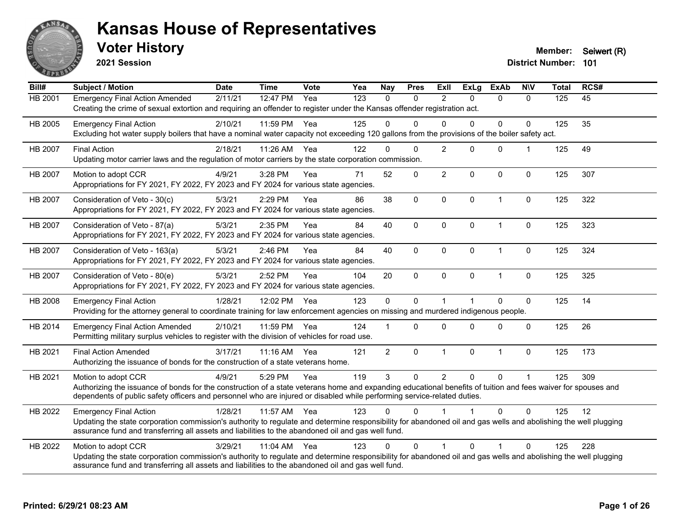

**2021 Session**

**Voter History Member:** Seiwert (R)

| Bill#          | Subject / Motion                                                                                                                                                                                                                                                                                                | <b>Date</b> | <b>Time</b> | <b>Vote</b> | Yea | <b>Nay</b>     | <b>Pres</b> | ExII           | <b>ExLg</b> | <b>ExAb</b>  | <b>NIV</b>   | <b>Total</b> | RCS# |
|----------------|-----------------------------------------------------------------------------------------------------------------------------------------------------------------------------------------------------------------------------------------------------------------------------------------------------------------|-------------|-------------|-------------|-----|----------------|-------------|----------------|-------------|--------------|--------------|--------------|------|
| HB 2001        | <b>Emergency Final Action Amended</b><br>Creating the crime of sexual extortion and requiring an offender to register under the Kansas offender registration act.                                                                                                                                               | 2/11/21     | 12:47 PM    | Yea         | 123 | $\mathbf{0}$   | 0           | 2              | $\Omega$    | $\mathbf{0}$ | $\mathbf{0}$ | 125          | 45   |
| HB 2005        | <b>Emergency Final Action</b><br>Excluding hot water supply boilers that have a nominal water capacity not exceeding 120 gallons from the provisions of the boiler safety act.                                                                                                                                  | 2/10/21     | 11:59 PM    | Yea         | 125 | $\Omega$       | $\Omega$    | $\Omega$       | $\Omega$    | $\Omega$     | $\mathbf 0$  | 125          | 35   |
| HB 2007        | <b>Final Action</b><br>Updating motor carrier laws and the regulation of motor carriers by the state corporation commission.                                                                                                                                                                                    | 2/18/21     | 11:26 AM    | Yea         | 122 | $\Omega$       | $\Omega$    | $\overline{2}$ | $\Omega$    | $\mathbf{0}$ | 1            | 125          | 49   |
| HB 2007        | Motion to adopt CCR<br>Appropriations for FY 2021, FY 2022, FY 2023 and FY 2024 for various state agencies.                                                                                                                                                                                                     | 4/9/21      | 3:28 PM     | Yea         | 71  | 52             | $\Omega$    | $\overline{2}$ | $\Omega$    | $\mathbf 0$  | $\Omega$     | 125          | 307  |
| HB 2007        | Consideration of Veto - 30(c)<br>Appropriations for FY 2021, FY 2022, FY 2023 and FY 2024 for various state agencies.                                                                                                                                                                                           | 5/3/21      | 2:29 PM     | Yea         | 86  | 38             | 0           | $\mathbf 0$    | $\mathbf 0$ | $\mathbf{1}$ | $\mathbf 0$  | 125          | 322  |
| HB 2007        | Consideration of Veto - 87(a)<br>Appropriations for FY 2021, FY 2022, FY 2023 and FY 2024 for various state agencies.                                                                                                                                                                                           | 5/3/21      | 2:35 PM     | Yea         | 84  | 40             | 0           | 0              | $\mathbf 0$ | $\mathbf{1}$ | $\mathbf 0$  | 125          | 323  |
| <b>HB 2007</b> | Consideration of Veto - 163(a)<br>Appropriations for FY 2021, FY 2022, FY 2023 and FY 2024 for various state agencies.                                                                                                                                                                                          | 5/3/21      | 2:46 PM     | Yea         | 84  | 40             | 0           | $\Omega$       | $\Omega$    | $\mathbf{1}$ | $\mathbf 0$  | 125          | 324  |
| HB 2007        | Consideration of Veto - 80(e)<br>Appropriations for FY 2021, FY 2022, FY 2023 and FY 2024 for various state agencies.                                                                                                                                                                                           | 5/3/21      | 2:52 PM     | Yea         | 104 | 20             | 0           | $\Omega$       | $\mathbf 0$ | $\mathbf{1}$ | $\mathbf 0$  | 125          | 325  |
| HB 2008        | <b>Emergency Final Action</b><br>Providing for the attorney general to coordinate training for law enforcement agencies on missing and murdered indigenous people.                                                                                                                                              | 1/28/21     | 12:02 PM    | Yea         | 123 | $\mathbf 0$    | $\Omega$    | $\mathbf 1$    |             | $\mathbf{0}$ | $\pmb{0}$    | 125          | 14   |
| HB 2014        | <b>Emergency Final Action Amended</b><br>Permitting military surplus vehicles to register with the division of vehicles for road use.                                                                                                                                                                           | 2/10/21     | 11:59 PM    | Yea         | 124 |                | $\Omega$    | $\Omega$       | $\Omega$    | $\mathbf{0}$ | $\Omega$     | 125          | 26   |
| HB 2021        | <b>Final Action Amended</b><br>Authorizing the issuance of bonds for the construction of a state veterans home.                                                                                                                                                                                                 | 3/17/21     | $11:16$ AM  | Yea         | 121 | $\overline{2}$ | 0           | $\mathbf{1}$   | $\mathbf 0$ | $\mathbf{1}$ | $\mathbf 0$  | 125          | 173  |
| HB 2021        | Motion to adopt CCR<br>Authorizing the issuance of bonds for the construction of a state veterans home and expanding educational benefits of tuition and fees waiver for spouses and<br>dependents of public safety officers and personnel who are injured or disabled while performing service-related duties. | 4/9/21      | 5:29 PM     | Yea         | 119 | 3              | 0           | $\overline{2}$ | $\mathbf 0$ | $\Omega$     | $\mathbf{1}$ | 125          | 309  |
| HB 2022        | <b>Emergency Final Action</b><br>Updating the state corporation commission's authority to regulate and determine responsibility for abandoned oil and gas wells and abolishing the well plugging<br>assurance fund and transferring all assets and liabilities to the abandoned oil and gas well fund.          | 1/28/21     | 11:57 AM    | Yea         | 123 | 0              | $\Omega$    |                |             | $\Omega$     | 0            | 125          | 12   |
| HB 2022        | Motion to adopt CCR<br>Updating the state corporation commission's authority to regulate and determine responsibility for abandoned oil and gas wells and abolishing the well plugging<br>assurance fund and transferring all assets and liabilities to the abandoned oil and gas well fund.                    | 3/29/21     | $11:04$ AM  | Yea         | 123 | $\Omega$       | $\Omega$    | $\mathbf 1$    | $\Omega$    | 1            | $\Omega$     | 125          | 228  |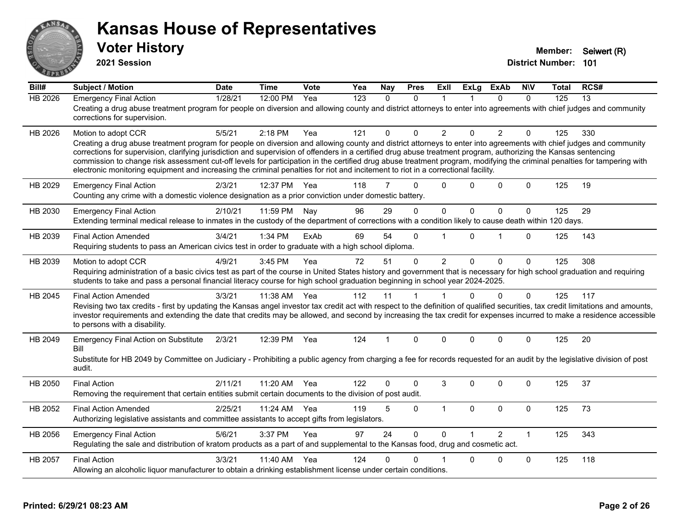

**2021 Session**

| Bill#          | <b>Subject / Motion</b>                                                                                                                                                                                                                                                                                                                                                                                                                                                                                                                                                                                                                                                         | <b>Date</b> | <b>Time</b> | Vote | Yea | <b>Nay</b> | <b>Pres</b> | <b>ExII</b>    | <b>ExLg</b> | <b>ExAb</b>    | <b>NIV</b>   | Total | RCS# |
|----------------|---------------------------------------------------------------------------------------------------------------------------------------------------------------------------------------------------------------------------------------------------------------------------------------------------------------------------------------------------------------------------------------------------------------------------------------------------------------------------------------------------------------------------------------------------------------------------------------------------------------------------------------------------------------------------------|-------------|-------------|------|-----|------------|-------------|----------------|-------------|----------------|--------------|-------|------|
| <b>HB 2026</b> | <b>Emergency Final Action</b><br>Creating a drug abuse treatment program for people on diversion and allowing county and district attorneys to enter into agreements with chief judges and community<br>corrections for supervision.                                                                                                                                                                                                                                                                                                                                                                                                                                            | 1/28/21     | 12:00 PM    | Yea  | 123 | $\Omega$   | $\Omega$    | 1              |             | $\Omega$       | $\Omega$     | 125   | 13   |
| HB 2026        | Motion to adopt CCR<br>Creating a drug abuse treatment program for people on diversion and allowing county and district attorneys to enter into agreements with chief judges and community<br>corrections for supervision, clarifying jurisdiction and supervision of offenders in a certified drug abuse treatment program, authorizing the Kansas sentencing<br>commission to change risk assessment cut-off levels for participation in the certified drug abuse treatment program, modifying the criminal penalties for tampering with<br>electronic monitoring equipment and increasing the criminal penalties for riot and incitement to riot in a correctional facility. | 5/5/21      | 2:18 PM     | Yea  | 121 | $\Omega$   | $\Omega$    | 2              | $\Omega$    | 2              | $\mathbf{0}$ | 125   | 330  |
| HB 2029        | <b>Emergency Final Action</b><br>Counting any crime with a domestic violence designation as a prior conviction under domestic battery.                                                                                                                                                                                                                                                                                                                                                                                                                                                                                                                                          | 2/3/21      | 12:37 PM    | Yea  | 118 | 7          | $\Omega$    | $\Omega$       | 0           | $\Omega$       | $\Omega$     | 125   | 19   |
| HB 2030        | <b>Emergency Final Action</b><br>Extending terminal medical release to inmates in the custody of the department of corrections with a condition likely to cause death within 120 days.                                                                                                                                                                                                                                                                                                                                                                                                                                                                                          | 2/10/21     | 11:59 PM    | Nay  | 96  | 29         | 0           | $\pmb{0}$      | $\mathbf 0$ | $\mathbf 0$    | $\mathbf 0$  | 125   | 29   |
| HB 2039        | <b>Final Action Amended</b><br>Requiring students to pass an American civics test in order to graduate with a high school diploma.                                                                                                                                                                                                                                                                                                                                                                                                                                                                                                                                              | 3/4/21      | 1:34 PM     | ExAb | 69  | 54         | $\mathbf 0$ |                | 0           | 1              | $\mathbf{0}$ | 125   | 143  |
| HB 2039        | Motion to adopt CCR<br>Requiring administration of a basic civics test as part of the course in United States history and government that is necessary for high school graduation and requiring<br>students to take and pass a personal financial literacy course for high school graduation beginning in school year 2024-2025.                                                                                                                                                                                                                                                                                                                                                | 4/9/21      | 3:45 PM     | Yea  | 72  | 51         | $\Omega$    | $\overline{2}$ | $\Omega$    | $\Omega$       | $\mathbf 0$  | 125   | 308  |
| HB 2045        | <b>Final Action Amended</b><br>Revising two tax credits - first by updating the Kansas angel investor tax credit act with respect to the definition of qualified securities, tax credit limitations and amounts,<br>investor requirements and extending the date that credits may be allowed, and second by increasing the tax credit for expenses incurred to make a residence accessible<br>to persons with a disability.                                                                                                                                                                                                                                                     | 3/3/21      | 11:38 AM    | Yea  | 112 | 11         |             |                | $\Omega$    | $\Omega$       | $\mathbf{0}$ | 125   | 117  |
| HB 2049        | <b>Emergency Final Action on Substitute</b><br>Bill<br>Substitute for HB 2049 by Committee on Judiciary - Prohibiting a public agency from charging a fee for records requested for an audit by the legislative division of post<br>audit.                                                                                                                                                                                                                                                                                                                                                                                                                                      | 2/3/21      | 12:39 PM    | Yea  | 124 |            | $\Omega$    | $\Omega$       | $\Omega$    | $\Omega$       | $\Omega$     | 125   | 20   |
| HB 2050        | <b>Final Action</b><br>Removing the requirement that certain entities submit certain documents to the division of post audit.                                                                                                                                                                                                                                                                                                                                                                                                                                                                                                                                                   | 2/11/21     | 11:20 AM    | Yea  | 122 | 0          | $\Omega$    | 3              | $\Omega$    | $\Omega$       | $\mathbf{0}$ | 125   | 37   |
| HB 2052        | <b>Final Action Amended</b><br>Authorizing legislative assistants and committee assistants to accept gifts from legislators.                                                                                                                                                                                                                                                                                                                                                                                                                                                                                                                                                    | 2/25/21     | 11:24 AM    | Yea  | 119 | 5          | 0           | $\mathbf{1}$   | 0           | $\mathbf 0$    | 0            | 125   | 73   |
| HB 2056        | <b>Emergency Final Action</b><br>Regulating the sale and distribution of kratom products as a part of and supplemental to the Kansas food, drug and cosmetic act.                                                                                                                                                                                                                                                                                                                                                                                                                                                                                                               | 5/6/21      | 3:37 PM     | Yea  | 97  | 24         | $\Omega$    | $\Omega$       |             | $\overline{2}$ | $\mathbf{1}$ | 125   | 343  |
| HB 2057        | <b>Final Action</b><br>Allowing an alcoholic liquor manufacturer to obtain a drinking establishment license under certain conditions.                                                                                                                                                                                                                                                                                                                                                                                                                                                                                                                                           | 3/3/21      | 11:40 AM    | Yea  | 124 | 0          | $\Omega$    |                | $\Omega$    | $\Omega$       | $\mathbf 0$  | 125   | 118  |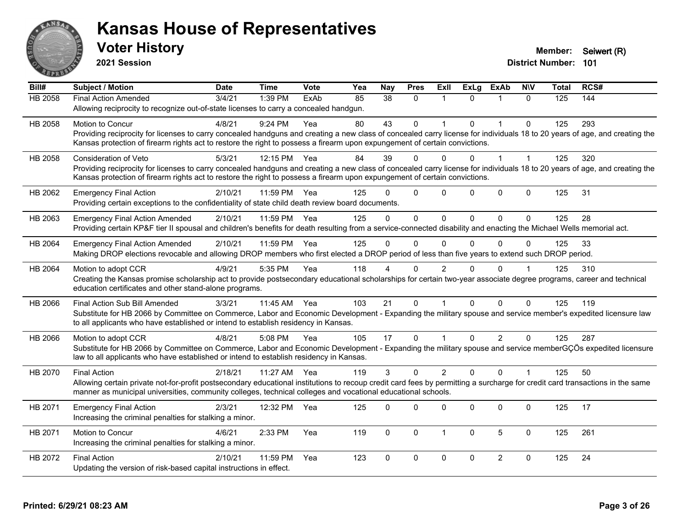

**2021 Session**

| Bill#   | <b>Subject / Motion</b>                                                                                                                                                      | <b>Date</b> | <b>Time</b> | <b>Vote</b> | Yea | <b>Nay</b> | <b>Pres</b>  | ExII           | <b>ExLg</b>  | <b>ExAb</b>    | <b>NIV</b>   | <b>Total</b> | RCS# |
|---------|------------------------------------------------------------------------------------------------------------------------------------------------------------------------------|-------------|-------------|-------------|-----|------------|--------------|----------------|--------------|----------------|--------------|--------------|------|
| HB 2058 | <b>Final Action Amended</b>                                                                                                                                                  | 3/4/21      | 1:39 PM     | ExAb        | 85  | 38         | $\Omega$     | -1             | $\Omega$     | 1              | $\Omega$     | 125          | 144  |
|         | Allowing reciprocity to recognize out-of-state licenses to carry a concealed handgun.                                                                                        |             |             |             |     |            |              |                |              |                |              |              |      |
| HB 2058 | Motion to Concur                                                                                                                                                             | 4/8/21      | 9:24 PM     | Yea         | 80  | 43         | $\mathbf{0}$ | 1              | $\Omega$     | $\mathbf{1}$   | $\mathbf{0}$ | 125          | 293  |
|         | Providing reciprocity for licenses to carry concealed handguns and creating a new class of concealed carry license for individuals 18 to 20 years of age, and creating the   |             |             |             |     |            |              |                |              |                |              |              |      |
|         | Kansas protection of firearm rights act to restore the right to possess a firearm upon expungement of certain convictions.                                                   |             |             |             |     |            |              |                |              |                |              |              |      |
| HB 2058 | <b>Consideration of Veto</b>                                                                                                                                                 | 5/3/21      | 12:15 PM    | Yea         | 84  | 39         | $\Omega$     | $\Omega$       | $\Omega$     | 1              | $\mathbf 1$  | 125          | 320  |
|         | Providing reciprocity for licenses to carry concealed handguns and creating a new class of concealed carry license for individuals 18 to 20 years of age, and creating the   |             |             |             |     |            |              |                |              |                |              |              |      |
|         | Kansas protection of firearm rights act to restore the right to possess a firearm upon expungement of certain convictions.                                                   |             |             |             |     |            |              |                |              |                |              |              |      |
| HB 2062 | <b>Emergency Final Action</b>                                                                                                                                                | 2/10/21     | 11:59 PM    | Yea         | 125 | U          | $\mathbf{0}$ | $\Omega$       | $\Omega$     | $\Omega$       | $\mathbf 0$  | 125          | 31   |
|         | Providing certain exceptions to the confidentiality of state child death review board documents.                                                                             |             |             |             |     |            |              |                |              |                |              |              |      |
| HB 2063 | <b>Emergency Final Action Amended</b>                                                                                                                                        | 2/10/21     | 11:59 PM    | Yea         | 125 | $\Omega$   | $\Omega$     | $\Omega$       | $\Omega$     | $\Omega$       | $\Omega$     | 125          | 28   |
|         | Providing certain KP&F tier II spousal and children's benefits for death resulting from a service-connected disability and enacting the Michael Wells memorial act.          |             |             |             |     |            |              |                |              |                |              |              |      |
| HB 2064 | <b>Emergency Final Action Amended</b>                                                                                                                                        | 2/10/21     | 11:59 PM    | Yea         | 125 | $\Omega$   | $\Omega$     | $\Omega$       | $\Omega$     | $\Omega$       | $\Omega$     | 125          | 33   |
|         | Making DROP elections revocable and allowing DROP members who first elected a DROP period of less than five years to extend such DROP period.                                |             |             |             |     |            |              |                |              |                |              |              |      |
| HB 2064 | Motion to adopt CCR                                                                                                                                                          | 4/9/21      | 5:35 PM     | Yea         | 118 |            | 0            | 2              |              | $\Omega$       |              | 125          | 310  |
|         | Creating the Kansas promise scholarship act to provide postsecondary educational scholarships for certain two-year associate degree programs, career and technical           |             |             |             |     |            |              |                |              |                |              |              |      |
|         | education certificates and other stand-alone programs.                                                                                                                       |             |             |             |     |            |              |                |              |                |              |              |      |
| HB 2066 | Final Action Sub Bill Amended                                                                                                                                                | 3/3/21      | 11:45 AM    | Yea         | 103 | 21         | $\Omega$     | $\overline{1}$ | $\Omega$     | $\Omega$       | $\Omega$     | 125          | 119  |
|         | Substitute for HB 2066 by Committee on Commerce, Labor and Economic Development - Expanding the military spouse and service member's expedited licensure law                 |             |             |             |     |            |              |                |              |                |              |              |      |
|         | to all applicants who have established or intend to establish residency in Kansas.                                                                                           |             |             |             |     |            |              |                |              |                |              |              |      |
| HB 2066 | Motion to adopt CCR                                                                                                                                                          | 4/8/21      | 5:08 PM     | Yea         | 105 | 17         | $\mathbf{0}$ |                | $\Omega$     | $\overline{2}$ | $\mathbf{0}$ | 125          | 287  |
|         | Substitute for HB 2066 by Committee on Commerce, Labor and Economic Development - Expanding the military spouse and service memberGÇÖs expedited licensure                   |             |             |             |     |            |              |                |              |                |              |              |      |
|         | law to all applicants who have established or intend to establish residency in Kansas.                                                                                       |             |             |             |     |            |              |                |              |                |              |              |      |
| HB 2070 | <b>Final Action</b>                                                                                                                                                          | 2/18/21     | 11:27 AM    | Yea         | 119 | 3          | $\mathbf 0$  | $\overline{2}$ | $\Omega$     | $\Omega$       | $\mathbf{1}$ | 125          | 50   |
|         | Allowing certain private not-for-profit postsecondary educational institutions to recoup credit card fees by permitting a surcharge for credit card transactions in the same |             |             |             |     |            |              |                |              |                |              |              |      |
|         | manner as municipal universities, community colleges, technical colleges and vocational educational schools.                                                                 |             |             |             |     |            |              |                |              |                |              |              |      |
| HB 2071 | <b>Emergency Final Action</b>                                                                                                                                                | 2/3/21      | 12:32 PM    | Yea         | 125 | $\Omega$   | $\Omega$     | $\mathbf{0}$   | $\Omega$     | 0              | $\mathbf{0}$ | 125          | 17   |
|         | Increasing the criminal penalties for stalking a minor.                                                                                                                      |             |             |             |     |            |              |                |              |                |              |              |      |
| HB 2071 | Motion to Concur                                                                                                                                                             | 4/6/21      | 2:33 PM     | Yea         | 119 | $\Omega$   | $\Omega$     | $\overline{1}$ | $\mathbf{0}$ | 5              | $\mathbf{0}$ | 125          | 261  |
|         | Increasing the criminal penalties for stalking a minor.                                                                                                                      |             |             |             |     |            |              |                |              |                |              |              |      |
| HB 2072 | <b>Final Action</b>                                                                                                                                                          | 2/10/21     | 11:59 PM    | Yea         | 123 | $\Omega$   | $\pmb{0}$    | $\mathbf 0$    | $\Omega$     | $\overline{2}$ | $\mathbf 0$  | 125          | 24   |
|         | Updating the version of risk-based capital instructions in effect.                                                                                                           |             |             |             |     |            |              |                |              |                |              |              |      |
|         |                                                                                                                                                                              |             |             |             |     |            |              |                |              |                |              |              |      |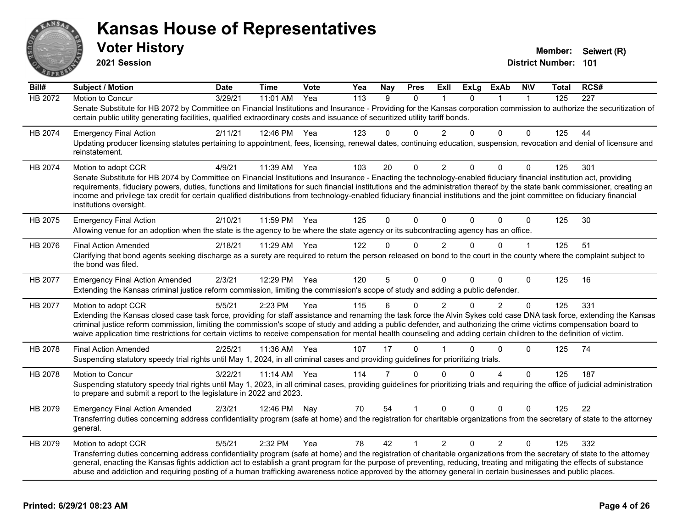

**2021 Session**

| Bill#          | <b>Subject / Motion</b>                                                                                                                                                                                                                                                                                                                                                                                                                                                                                                                                       | <b>Date</b> | <b>Time</b> | Vote | Yea | Nay            | <b>Pres</b>  | ExII           | <b>ExLg</b> | <b>ExAb</b>    | <b>NIV</b>   | Total | RCS#             |
|----------------|---------------------------------------------------------------------------------------------------------------------------------------------------------------------------------------------------------------------------------------------------------------------------------------------------------------------------------------------------------------------------------------------------------------------------------------------------------------------------------------------------------------------------------------------------------------|-------------|-------------|------|-----|----------------|--------------|----------------|-------------|----------------|--------------|-------|------------------|
| <b>HB 2072</b> | Motion to Concur                                                                                                                                                                                                                                                                                                                                                                                                                                                                                                                                              | 3/29/21     | 11:01 AM    | Yea  | 113 | 9              | $\Omega$     |                | $\Omega$    |                | $\mathbf{1}$ | 125   | $\overline{227}$ |
|                | Senate Substitute for HB 2072 by Committee on Financial Institutions and Insurance - Providing for the Kansas corporation commission to authorize the securitization of<br>certain public utility generating facilities, qualified extraordinary costs and issuance of securitized utility tariff bonds.                                                                                                                                                                                                                                                      |             |             |      |     |                |              |                |             |                |              |       |                  |
| HB 2074        | <b>Emergency Final Action</b>                                                                                                                                                                                                                                                                                                                                                                                                                                                                                                                                 | 2/11/21     | 12:46 PM    | Yea  | 123 | 0              | $\Omega$     | $\overline{2}$ | $\Omega$    | $\Omega$       | $\Omega$     | 125   | 44               |
|                | Updating producer licensing statutes pertaining to appointment, fees, licensing, renewal dates, continuing education, suspension, revocation and denial of licensure and<br>reinstatement.                                                                                                                                                                                                                                                                                                                                                                    |             |             |      |     |                |              |                |             |                |              |       |                  |
| HB 2074        | Motion to adopt CCR                                                                                                                                                                                                                                                                                                                                                                                                                                                                                                                                           | 4/9/21      | 11:39 AM    | Yea  | 103 | 20             | $\Omega$     | $\overline{2}$ | $\Omega$    | $\Omega$       | $\mathbf{0}$ | 125   | 301              |
|                | Senate Substitute for HB 2074 by Committee on Financial Institutions and Insurance - Enacting the technology-enabled fiduciary financial institution act, providing<br>requirements, fiduciary powers, duties, functions and limitations for such financial institutions and the administration thereof by the state bank commissioner, creating an<br>income and privilege tax credit for certain qualified distributions from technology-enabled fiduciary financial institutions and the joint committee on fiduciary financial<br>institutions oversight. |             |             |      |     |                |              |                |             |                |              |       |                  |
| HB 2075        | <b>Emergency Final Action</b><br>Allowing venue for an adoption when the state is the agency to be where the state agency or its subcontracting agency has an office.                                                                                                                                                                                                                                                                                                                                                                                         | 2/10/21     | 11:59 PM    | Yea  | 125 | $\Omega$       | $\Omega$     | $\Omega$       | $\Omega$    | $\Omega$       | $\mathbf 0$  | 125   | 30               |
| HB 2076        | <b>Final Action Amended</b>                                                                                                                                                                                                                                                                                                                                                                                                                                                                                                                                   | 2/18/21     | 11:29 AM    | Yea  | 122 | $\Omega$       | $\mathbf{0}$ | $\overline{2}$ | $\Omega$    | $\Omega$       | 1            | 125   | 51               |
|                | Clarifying that bond agents seeking discharge as a surety are required to return the person released on bond to the court in the county where the complaint subject to<br>the bond was filed.                                                                                                                                                                                                                                                                                                                                                                 |             |             |      |     |                |              |                |             |                |              |       |                  |
| HB 2077        | <b>Emergency Final Action Amended</b><br>Extending the Kansas criminal justice reform commission, limiting the commission's scope of study and adding a public defender.                                                                                                                                                                                                                                                                                                                                                                                      | 2/3/21      | 12:29 PM    | Yea  | 120 | 5              | $\Omega$     | $\Omega$       | $\Omega$    | $\Omega$       | $\Omega$     | 125   | 16               |
|                |                                                                                                                                                                                                                                                                                                                                                                                                                                                                                                                                                               |             |             |      | 115 | 6              | $\Omega$     |                | $\Omega$    | 2              | 0            | 125   | 331              |
| HB 2077        | Motion to adopt CCR<br>Extending the Kansas closed case task force, providing for staff assistance and renaming the task force the Alvin Sykes cold case DNA task force, extending the Kansas                                                                                                                                                                                                                                                                                                                                                                 | 5/5/21      | 2:23 PM     | Yea  |     |                |              | $\overline{2}$ |             |                |              |       |                  |
|                | criminal justice reform commission, limiting the commission's scope of study and adding a public defender, and authorizing the crime victims compensation board to<br>waive application time restrictions for certain victims to receive compensation for mental health counseling and adding certain children to the definition of victim.                                                                                                                                                                                                                   |             |             |      |     |                |              |                |             |                |              |       |                  |
| HB 2078        | <b>Final Action Amended</b>                                                                                                                                                                                                                                                                                                                                                                                                                                                                                                                                   | 2/25/21     | 11:36 AM    | Yea  | 107 | 17             | $\mathbf{0}$ |                |             | $\Omega$       | $\Omega$     | 125   | 74               |
|                | Suspending statutory speedy trial rights until May 1, 2024, in all criminal cases and providing guidelines for prioritizing trials.                                                                                                                                                                                                                                                                                                                                                                                                                           |             |             |      |     |                |              |                |             |                |              |       |                  |
| HB 2078        | Motion to Concur                                                                                                                                                                                                                                                                                                                                                                                                                                                                                                                                              | 3/22/21     | 11:14 AM    | Yea  | 114 | $\overline{7}$ | $\Omega$     | $\Omega$       | $\Omega$    | $\Delta$       | $\Omega$     | 125   | 187              |
|                | Suspending statutory speedy trial rights until May 1, 2023, in all criminal cases, providing guidelines for prioritizing trials and requiring the office of judicial administration<br>to prepare and submit a report to the legislature in 2022 and 2023.                                                                                                                                                                                                                                                                                                    |             |             |      |     |                |              |                |             |                |              |       |                  |
| HB 2079        | <b>Emergency Final Action Amended</b>                                                                                                                                                                                                                                                                                                                                                                                                                                                                                                                         | 2/3/21      | 12:46 PM    | Nay  | 70  | 54             |              | $\Omega$       | $\Omega$    | $\Omega$       | 0            | 125   | 22               |
|                | Transferring duties concerning address confidentiality program (safe at home) and the registration for charitable organizations from the secretary of state to the attorney<br>general.                                                                                                                                                                                                                                                                                                                                                                       |             |             |      |     |                |              |                |             |                |              |       |                  |
| HB 2079        | Motion to adopt CCR                                                                                                                                                                                                                                                                                                                                                                                                                                                                                                                                           | 5/5/21      | 2:32 PM     | Yea  | 78  | 42             | 1            | $\overline{2}$ | $\Omega$    | $\overline{2}$ | $\Omega$     | 125   | 332              |
|                | Transferring duties concerning address confidentiality program (safe at home) and the registration of charitable organizations from the secretary of state to the attorney<br>general, enacting the Kansas fights addiction act to establish a grant program for the purpose of preventing, reducing, treating and mitigating the effects of substance<br>abuse and addiction and requiring posting of a human trafficking awareness notice approved by the attorney general in certain businesses and public places.                                         |             |             |      |     |                |              |                |             |                |              |       |                  |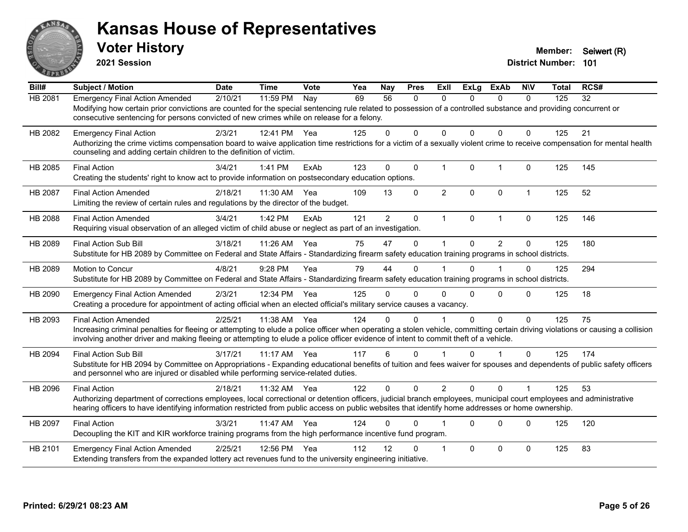

**2021 Session**

| Bill#          | <b>Subject / Motion</b>                                                                                                                                                                                                                                                                                                                                | <b>Date</b> | <b>Time</b> | Vote | Yea | Nay            | <b>Pres</b>  | <b>ExII</b>    | <b>ExLg</b>  | <b>ExAb</b>    | <b>NIV</b>           | <b>Total</b> | RCS# |
|----------------|--------------------------------------------------------------------------------------------------------------------------------------------------------------------------------------------------------------------------------------------------------------------------------------------------------------------------------------------------------|-------------|-------------|------|-----|----------------|--------------|----------------|--------------|----------------|----------------------|--------------|------|
| HB 2081        | <b>Emergency Final Action Amended</b><br>Modifying how certain prior convictions are counted for the special sentencing rule related to possession of a controlled substance and providing concurrent or<br>consecutive sentencing for persons convicted of new crimes while on release for a felony.                                                  | 2/10/21     | 11:59 PM    | Nay  | 69  | 56             | 0            | $\mathbf{0}$   | $\Omega$     | $\mathbf{0}$   | $\mathbf 0$          | 125          | 32   |
| HB 2082        | <b>Emergency Final Action</b><br>Authorizing the crime victims compensation board to waive application time restrictions for a victim of a sexually violent crime to receive compensation for mental health<br>counseling and adding certain children to the definition of victim.                                                                     | 2/3/21      | 12:41 PM    | Yea  | 125 | $\Omega$       | $\Omega$     | 0              | $\mathbf{0}$ | $\Omega$       | $\mathbf{0}$         | 125          | 21   |
| HB 2085        | <b>Final Action</b><br>Creating the students' right to know act to provide information on postsecondary education options.                                                                                                                                                                                                                             | 3/4/21      | 1:41 PM     | ExAb | 123 | $\Omega$       | 0            | $\mathbf{1}$   | $\mathbf 0$  | $\overline{1}$ | $\mathbf 0$          | 125          | 145  |
| <b>HB 2087</b> | <b>Final Action Amended</b><br>Limiting the review of certain rules and regulations by the director of the budget.                                                                                                                                                                                                                                     | 2/18/21     | 11:30 AM    | Yea  | 109 | 13             | $\Omega$     | $\overline{2}$ | $\Omega$     | $\mathbf{0}$   | $\mathbf{1}$         | 125          | 52   |
| <b>HB 2088</b> | <b>Final Action Amended</b><br>Requiring visual observation of an alleged victim of child abuse or neglect as part of an investigation.                                                                                                                                                                                                                | 3/4/21      | 1:42 PM     | ExAb | 121 | $\overline{2}$ | $\mathbf{0}$ | $\mathbf 1$    | $\Omega$     | $\overline{1}$ | $\Omega$             | 125          | 146  |
| HB 2089        | <b>Final Action Sub Bill</b><br>Substitute for HB 2089 by Committee on Federal and State Affairs - Standardizing firearm safety education training programs in school districts.                                                                                                                                                                       | 3/18/21     | 11:26 AM    | Yea  | 75  | 47             | $\Omega$     | 1              | $\Omega$     | $\mathfrak{p}$ | $\mathbf{0}$         | 125          | 180  |
| HB 2089        | Motion to Concur<br>Substitute for HB 2089 by Committee on Federal and State Affairs - Standardizing firearm safety education training programs in school districts.                                                                                                                                                                                   | 4/8/21      | 9:28 PM     | Yea  | 79  | 44             | 0            |                | $\Omega$     |                | $\mathbf 0$          | 125          | 294  |
| HB 2090        | <b>Emergency Final Action Amended</b><br>Creating a procedure for appointment of acting official when an elected official's military service causes a vacancy.                                                                                                                                                                                         | 2/3/21      | 12:34 PM    | Yea  | 125 | 0              | 0            | $\Omega$       | $\Omega$     | $\Omega$       | $\mathbf{0}$         | 125          | 18   |
| HB 2093        | <b>Final Action Amended</b><br>Increasing criminal penalties for fleeing or attempting to elude a police officer when operating a stolen vehicle, committing certain driving violations or causing a collision<br>involving another driver and making fleeing or attempting to elude a police officer evidence of intent to commit theft of a vehicle. | 2/25/21     | 11:38 AM    | Yea  | 124 | 0              | 0            |                | 0            | $\mathbf 0$    | $\mathbf{0}$         | 125          | 75   |
| HB 2094        | <b>Final Action Sub Bill</b><br>Substitute for HB 2094 by Committee on Appropriations - Expanding educational benefits of tuition and fees waiver for spouses and dependents of public safety officers<br>and personnel who are injured or disabled while performing service-related duties.                                                           | 3/17/21     | $11:17$ AM  | Yea  | 117 | 6              | $\Omega$     |                | $\Omega$     |                | $\Omega$             | 125          | 174  |
| HB 2096        | <b>Final Action</b><br>Authorizing department of corrections employees, local correctional or detention officers, judicial branch employees, municipal court employees and administrative<br>hearing officers to have identifying information restricted from public access on public websites that identify home addresses or home ownership.         | 2/18/21     | 11:32 AM    | Yea  | 122 | $\Omega$       | $\Omega$     | $\overline{2}$ | $\Omega$     | $\Omega$       | $\blacktriangleleft$ | 125          | 53   |
| HB 2097        | <b>Final Action</b><br>Decoupling the KIT and KIR workforce training programs from the high performance incentive fund program.                                                                                                                                                                                                                        | 3/3/21      | 11:47 AM    | Yea  | 124 | 0              | 0            |                | $\Omega$     | $\Omega$       | $\mathbf{0}$         | 125          | 120  |
| HB 2101        | <b>Emergency Final Action Amended</b><br>Extending transfers from the expanded lottery act revenues fund to the university engineering initiative.                                                                                                                                                                                                     | 2/25/21     | 12:56 PM    | Yea  | 112 | 12             | 0            | -1             | $\Omega$     | $\Omega$       | $\mathbf{0}$         | 125          | 83   |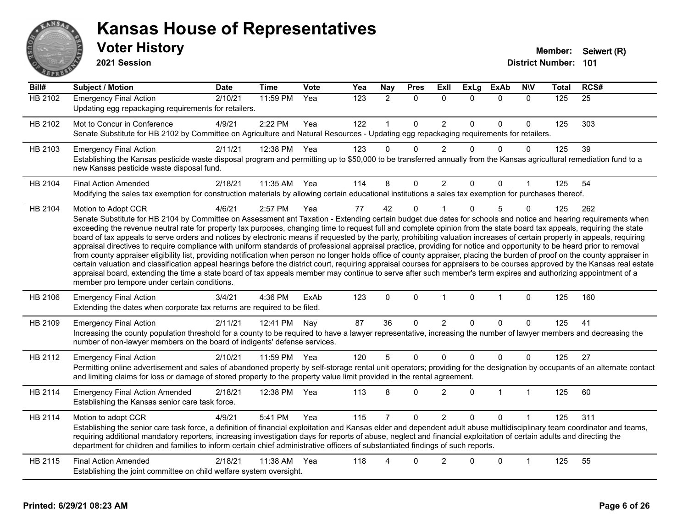

**2021 Session**

| Bill#          | <b>Subject / Motion</b>                                                                                                                                                                                                                                                                                                                                                                                                                                                                                                                                                                                                                                                                                                                                                                                                                                                                                                                                                                                                                                                                                                                                                                                                                                                                                     | <b>Date</b> | <b>Time</b>  | Vote | Yea | Nay            | <b>Pres</b>  | Exll           | <b>ExLg</b> | <b>ExAb</b>  | <b>NIV</b>   | <b>Total</b> | RCS#            |
|----------------|-------------------------------------------------------------------------------------------------------------------------------------------------------------------------------------------------------------------------------------------------------------------------------------------------------------------------------------------------------------------------------------------------------------------------------------------------------------------------------------------------------------------------------------------------------------------------------------------------------------------------------------------------------------------------------------------------------------------------------------------------------------------------------------------------------------------------------------------------------------------------------------------------------------------------------------------------------------------------------------------------------------------------------------------------------------------------------------------------------------------------------------------------------------------------------------------------------------------------------------------------------------------------------------------------------------|-------------|--------------|------|-----|----------------|--------------|----------------|-------------|--------------|--------------|--------------|-----------------|
| <b>HB 2102</b> | <b>Emergency Final Action</b><br>Updating egg repackaging requirements for retailers.                                                                                                                                                                                                                                                                                                                                                                                                                                                                                                                                                                                                                                                                                                                                                                                                                                                                                                                                                                                                                                                                                                                                                                                                                       | 2/10/21     | 11:59 PM     | Yea  | 123 | $\overline{2}$ | $\mathbf{0}$ | $\mathbf{0}$   | $\Omega$    | $\mathbf{0}$ | $\mathbf{0}$ | 125          | $\overline{25}$ |
| HB 2102        | Mot to Concur in Conference<br>Senate Substitute for HB 2102 by Committee on Agriculture and Natural Resources - Updating egg repackaging requirements for retailers.                                                                                                                                                                                                                                                                                                                                                                                                                                                                                                                                                                                                                                                                                                                                                                                                                                                                                                                                                                                                                                                                                                                                       | 4/9/21      | 2:22 PM      | Yea  | 122 |                | $\mathbf 0$  | $\overline{c}$ | $\Omega$    | 0            | 0            | 125          | 303             |
| HB 2103        | <b>Emergency Final Action</b><br>Establishing the Kansas pesticide waste disposal program and permitting up to \$50,000 to be transferred annually from the Kansas agricultural remediation fund to a<br>new Kansas pesticide waste disposal fund.                                                                                                                                                                                                                                                                                                                                                                                                                                                                                                                                                                                                                                                                                                                                                                                                                                                                                                                                                                                                                                                          | 2/11/21     | 12:38 PM     | Yea  | 123 | $\Omega$       | $\Omega$     | $\overline{2}$ | $\Omega$    | $\Omega$     | $\Omega$     | 125          | 39              |
| HB 2104        | <b>Final Action Amended</b><br>Modifying the sales tax exemption for construction materials by allowing certain educational institutions a sales tax exemption for purchases thereof.                                                                                                                                                                                                                                                                                                                                                                                                                                                                                                                                                                                                                                                                                                                                                                                                                                                                                                                                                                                                                                                                                                                       | 2/18/21     | 11:35 AM Yea |      | 114 | 8              | $\Omega$     | $\overline{2}$ | $\Omega$    | $\mathbf{0}$ | 1            | 125          | 54              |
| HB 2104        | Motion to Adopt CCR<br>Senate Substitute for HB 2104 by Committee on Assessment ant Taxation - Extending certain budget due dates for schools and notice and hearing requirements when<br>exceeding the revenue neutral rate for property tax purposes, changing time to request full and complete opinion from the state board tax appeals, requiring the state<br>board of tax appeals to serve orders and notices by electronic means if requested by the party, prohibiting valuation increases of certain property in appeals, requiring<br>appraisal directives to require compliance with uniform standards of professional appraisal practice, providing for notice and opportunity to be heard prior to removal<br>from county appraiser eligibility list, providing notification when person no longer holds office of county appraiser, placing the burden of proof on the county appraiser in<br>certain valuation and classification appeal hearings before the district court, requiring appraisal courses for appraisers to be courses approved by the Kansas real estate<br>appraisal board, extending the time a state board of tax appeals member may continue to serve after such member's term expires and authorizing appointment of a<br>member pro tempore under certain conditions. | 4/6/21      | 2:57 PM      | Yea  | 77  | 42             | $\Omega$     |                | $\Omega$    | 5            | 0            | 125          | 262             |
| HB 2106        | <b>Emergency Final Action</b><br>Extending the dates when corporate tax returns are required to be filed.                                                                                                                                                                                                                                                                                                                                                                                                                                                                                                                                                                                                                                                                                                                                                                                                                                                                                                                                                                                                                                                                                                                                                                                                   | 3/4/21      | 4:36 PM      | ExAb | 123 | $\mathbf 0$    | $\mathbf 0$  | $\mathbf{1}$   | $\mathbf 0$ | $\mathbf{1}$ | $\mathbf 0$  | 125          | 160             |
| HB 2109        | <b>Emergency Final Action</b><br>Increasing the county population threshold for a county to be required to have a lawyer representative, increasing the number of lawyer members and decreasing the<br>number of non-lawyer members on the board of indigents' defense services.                                                                                                                                                                                                                                                                                                                                                                                                                                                                                                                                                                                                                                                                                                                                                                                                                                                                                                                                                                                                                            | 2/11/21     | 12:41 PM     | Nay  | 87  | 36             | $\mathbf 0$  | $\overline{c}$ | $\Omega$    | $\mathbf 0$  | $\Omega$     | 125          | 41              |
| HB 2112        | <b>Emergency Final Action</b><br>Permitting online advertisement and sales of abandoned property by self-storage rental unit operators; providing for the designation by occupants of an alternate contact<br>and limiting claims for loss or damage of stored property to the property value limit provided in the rental agreement.                                                                                                                                                                                                                                                                                                                                                                                                                                                                                                                                                                                                                                                                                                                                                                                                                                                                                                                                                                       | 2/10/21     | 11:59 PM     | Yea  | 120 | 5              | $\mathbf 0$  | $\mathbf 0$    | $\Omega$    | $\pmb{0}$    | $\Omega$     | 125          | 27              |
| HB 2114        | <b>Emergency Final Action Amended</b><br>Establishing the Kansas senior care task force.                                                                                                                                                                                                                                                                                                                                                                                                                                                                                                                                                                                                                                                                                                                                                                                                                                                                                                                                                                                                                                                                                                                                                                                                                    | 2/18/21     | 12:38 PM     | Yea  | 113 | 8              | $\Omega$     | $\overline{2}$ | $\Omega$    | $\mathbf 1$  | $\mathbf{1}$ | 125          | 60              |
| HB 2114        | Motion to adopt CCR<br>Establishing the senior care task force, a definition of financial exploitation and Kansas elder and dependent adult abuse multidisciplinary team coordinator and teams,<br>requiring additional mandatory reporters, increasing investigation days for reports of abuse, neglect and financial exploitation of certain adults and directing the<br>department for children and families to inform certain chief administrative officers of substantiated findings of such reports.                                                                                                                                                                                                                                                                                                                                                                                                                                                                                                                                                                                                                                                                                                                                                                                                  | 4/9/21      | 5:41 PM      | Yea  | 115 |                | $\mathbf 0$  | $\overline{2}$ | $\Omega$    | $\Omega$     |              | 125          | 311             |
| HB 2115        | <b>Final Action Amended</b><br>Establishing the joint committee on child welfare system oversight.                                                                                                                                                                                                                                                                                                                                                                                                                                                                                                                                                                                                                                                                                                                                                                                                                                                                                                                                                                                                                                                                                                                                                                                                          | 2/18/21     | 11:38 AM     | Yea  | 118 | 4              | $\Omega$     | $\overline{2}$ | $\Omega$    | $\mathbf 0$  | 1            | 125          | 55              |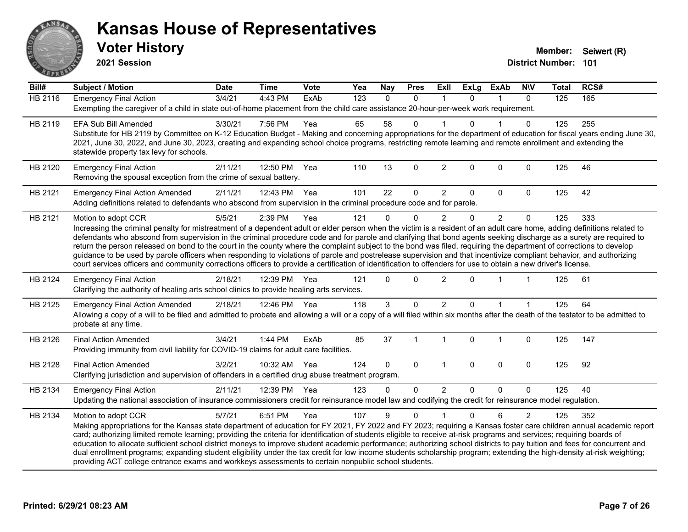

**2021 Session**

| Bill#          | <b>Subject / Motion</b>                                                                                                                                                                                                                                                                                                                                                                                                                                                                                                                                                                                                                                                                                                                                                                                                                                                                | <b>Date</b> | <b>Time</b>  | Vote | Yea | <b>Nay</b> | <b>Pres</b>  | ExII           | <b>ExLg</b> | <b>ExAb</b>    | <b>NIV</b>     | <b>Total</b> | RCS# |
|----------------|----------------------------------------------------------------------------------------------------------------------------------------------------------------------------------------------------------------------------------------------------------------------------------------------------------------------------------------------------------------------------------------------------------------------------------------------------------------------------------------------------------------------------------------------------------------------------------------------------------------------------------------------------------------------------------------------------------------------------------------------------------------------------------------------------------------------------------------------------------------------------------------|-------------|--------------|------|-----|------------|--------------|----------------|-------------|----------------|----------------|--------------|------|
| <b>HB 2116</b> | <b>Emergency Final Action</b><br>Exempting the caregiver of a child in state out-of-home placement from the child care assistance 20-hour-per-week work requirement.                                                                                                                                                                                                                                                                                                                                                                                                                                                                                                                                                                                                                                                                                                                   | 3/4/21      | $4:43$ PM    | ExAb | 123 | $\Omega$   | $\mathbf{0}$ |                | 0           |                | $\mathbf{0}$   | 125          | 165  |
| HB 2119        | <b>EFA Sub Bill Amended</b><br>Substitute for HB 2119 by Committee on K-12 Education Budget - Making and concerning appropriations for the department of education for fiscal years ending June 30,<br>2021, June 30, 2022, and June 30, 2023, creating and expanding school choice programs, restricting remote learning and remote enrollment and extending the<br>statewide property tax levy for schools.                                                                                                                                                                                                                                                                                                                                                                                                                                                                          | 3/30/21     | 7:56 PM      | Yea  | 65  | 58         | 0            |                | 0           |                | $\Omega$       | 125          | 255  |
| HB 2120        | <b>Emergency Final Action</b><br>Removing the spousal exception from the crime of sexual battery.                                                                                                                                                                                                                                                                                                                                                                                                                                                                                                                                                                                                                                                                                                                                                                                      | 2/11/21     | 12:50 PM     | Yea  | 110 | 13         | $\mathbf 0$  | $\overline{2}$ | $\Omega$    | 0              | $\mathbf 0$    | 125          | 46   |
| HB 2121        | <b>Emergency Final Action Amended</b><br>Adding definitions related to defendants who abscond from supervision in the criminal procedure code and for parole.                                                                                                                                                                                                                                                                                                                                                                                                                                                                                                                                                                                                                                                                                                                          | 2/11/21     | 12:43 PM Yea |      | 101 | 22         | 0            | $\overline{2}$ | $\Omega$    | $\Omega$       | $\Omega$       | 125          | 42   |
| HB 2121        | Motion to adopt CCR<br>Increasing the criminal penalty for mistreatment of a dependent adult or elder person when the victim is a resident of an adult care home, adding definitions related to<br>defendants who abscond from supervision in the criminal procedure code and for parole and clarifying that bond agents seeking discharge as a surety are required to<br>return the person released on bond to the court in the county where the complaint subject to the bond was filed, requiring the department of corrections to develop<br>guidance to be used by parole officers when responding to violations of parole and postrelease supervision and that incentivize compliant behavior, and authorizing<br>court services officers and community corrections officers to provide a certification of identification to offenders for use to obtain a new driver's license. | 5/5/21      | 2:39 PM      | Yea  | 121 | $\Omega$   | 0            | $\overline{2}$ | $\Omega$    | $\overline{2}$ | $\mathbf 0$    | 125          | 333  |
| HB 2124        | <b>Emergency Final Action</b><br>Clarifying the authority of healing arts school clinics to provide healing arts services.                                                                                                                                                                                                                                                                                                                                                                                                                                                                                                                                                                                                                                                                                                                                                             | 2/18/21     | 12:39 PM     | Yea  | 121 | $\Omega$   | $\mathbf 0$  | $\overline{2}$ | $\Omega$    |                |                | 125          | 61   |
| HB 2125        | <b>Emergency Final Action Amended</b><br>Allowing a copy of a will to be filed and admitted to probate and allowing a will or a copy of a will filed within six months after the death of the testator to be admitted to<br>probate at any time.                                                                                                                                                                                                                                                                                                                                                                                                                                                                                                                                                                                                                                       | 2/18/21     | 12:46 PM Yea |      | 118 | 3          | $\Omega$     | $\overline{2}$ | $\Omega$    |                |                | 125          | 64   |
| HB 2126        | <b>Final Action Amended</b><br>Providing immunity from civil liability for COVID-19 claims for adult care facilities.                                                                                                                                                                                                                                                                                                                                                                                                                                                                                                                                                                                                                                                                                                                                                                  | 3/4/21      | 1:44 PM      | ExAb | 85  | 37         |              | 1              | 0           | $\overline{1}$ | $\mathbf 0$    | 125          | 147  |
| HB 2128        | <b>Final Action Amended</b><br>Clarifying jurisdiction and supervision of offenders in a certified drug abuse treatment program.                                                                                                                                                                                                                                                                                                                                                                                                                                                                                                                                                                                                                                                                                                                                                       | 3/2/21      | 10:32 AM Yea |      | 124 | $\Omega$   | $\Omega$     | $\mathbf{1}$   | $\Omega$    | $\Omega$       | $\Omega$       | 125          | 92   |
| HB 2134        | <b>Emergency Final Action</b><br>Updating the national association of insurance commissioners credit for reinsurance model law and codifying the credit for reinsurance model regulation.                                                                                                                                                                                                                                                                                                                                                                                                                                                                                                                                                                                                                                                                                              | 2/11/21     | 12:39 PM Yea |      | 123 | $\Omega$   | 0            | $\overline{2}$ | 0           | $\Omega$       | $\mathbf 0$    | 125          | 40   |
| HB 2134        | Motion to adopt CCR<br>Making appropriations for the Kansas state department of education for FY 2021, FY 2022 and FY 2023; requiring a Kansas foster care children annual academic report<br>card; authorizing limited remote learning; providing the criteria for identification of students eligible to receive at-risk programs and services; requiring boards of<br>education to allocate sufficient school district moneys to improve student academic performance; authorizing school districts to pay tuition and fees for concurrent and<br>dual enrollment programs; expanding student eligibility under the tax credit for low income students scholarship program; extending the high-density at-risk weighting;<br>providing ACT college entrance exams and workkeys assessments to certain nonpublic school students.                                                    | 5/7/21      | 6:51 PM      | Yea  | 107 | 9          | $\Omega$     |                | $\Omega$    | 6              | $\overline{2}$ | 125          | 352  |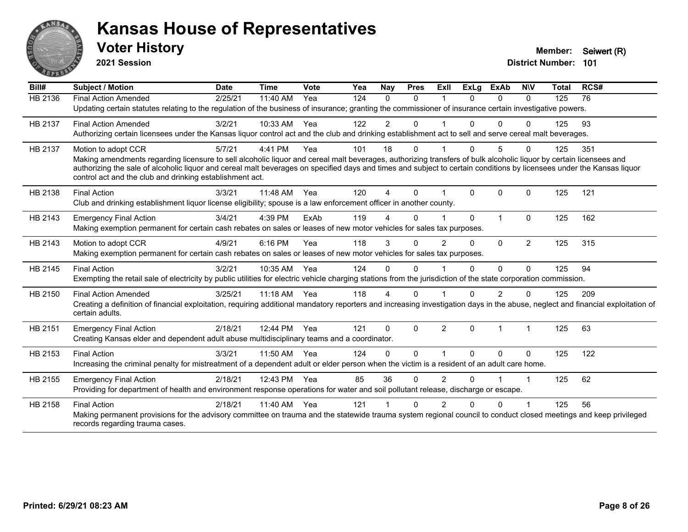

**2021 Session**

| Bill#          | Subject / Motion                                                                                                                                                                                                                  | <b>Date</b> | <b>Time</b> | <b>Vote</b> | Yea | Nay          | <b>Pres</b> | <b>Exll</b>          | <b>ExLg</b>  | <b>ExAb</b>    | <b>NIV</b>     | <b>Total</b> | RCS# |
|----------------|-----------------------------------------------------------------------------------------------------------------------------------------------------------------------------------------------------------------------------------|-------------|-------------|-------------|-----|--------------|-------------|----------------------|--------------|----------------|----------------|--------------|------|
| <b>HB 2136</b> | <b>Final Action Amended</b>                                                                                                                                                                                                       | 2/25/21     | 11:40 AM    | Yea         | 124 | $\Omega$     | $\Omega$    |                      | $\Omega$     | $\Omega$       | $\Omega$       | 125          | 76   |
|                | Updating certain statutes relating to the regulation of the business of insurance; granting the commissioner of insurance certain investigative powers.                                                                           |             |             |             |     |              |             |                      |              |                |                |              |      |
| HB 2137        | <b>Final Action Amended</b>                                                                                                                                                                                                       | 3/2/21      | 10:33 AM    | Yea         | 122 | 2            | $\Omega$    |                      |              | $\Omega$       | 0              | 125          | 93   |
|                | Authorizing certain licensees under the Kansas liquor control act and the club and drinking establishment act to sell and serve cereal malt beverages.                                                                            |             |             |             |     |              |             |                      |              |                |                |              |      |
| HB 2137        | Motion to adopt CCR                                                                                                                                                                                                               | 5/7/21      | 4:41 PM     | Yea         | 101 | 18           | 0           |                      | $\Omega$     | 5              | $\Omega$       | 125          | 351  |
|                | Making amendments regarding licensure to sell alcoholic liquor and cereal malt beverages, authorizing transfers of bulk alcoholic liquor by certain licensees and                                                                 |             |             |             |     |              |             |                      |              |                |                |              |      |
|                | authorizing the sale of alcoholic liquor and cereal malt beverages on specified days and times and subject to certain conditions by licensees under the Kansas liquor<br>control act and the club and drinking establishment act. |             |             |             |     |              |             |                      |              |                |                |              |      |
| HB 2138        | <b>Final Action</b>                                                                                                                                                                                                               | 3/3/21      | 11:48 AM    | Yea         | 120 | 4            | $\Omega$    |                      | $\mathbf{0}$ | 0              | $\mathbf 0$    | 125          | 121  |
|                | Club and drinking establishment liquor license eligibility; spouse is a law enforcement officer in another county.                                                                                                                |             |             |             |     |              |             |                      |              |                |                |              |      |
| HB 2143        | <b>Emergency Final Action</b>                                                                                                                                                                                                     | 3/4/21      | 4:39 PM     | ExAb        | 119 |              | 0           |                      | $\Omega$     | $\overline{1}$ | $\Omega$       | 125          | 162  |
|                | Making exemption permanent for certain cash rebates on sales or leases of new motor vehicles for sales tax purposes.                                                                                                              |             |             |             |     |              |             |                      |              |                |                |              |      |
| HB 2143        | Motion to adopt CCR                                                                                                                                                                                                               | 4/9/21      | 6:16 PM     | Yea         | 118 | 3            | $\Omega$    | $\overline{2}$       | $\Omega$     | $\Omega$       | $\overline{2}$ | 125          | 315  |
|                | Making exemption permanent for certain cash rebates on sales or leases of new motor vehicles for sales tax purposes.                                                                                                              |             |             |             |     |              |             |                      |              |                |                |              |      |
| HB 2145        | <b>Final Action</b>                                                                                                                                                                                                               | 3/2/21      | 10:35 AM    | Yea         | 124 | $\Omega$     | $\Omega$    |                      | $\Omega$     | $\Omega$       | $\Omega$       | 125          | 94   |
|                | Exempting the retail sale of electricity by public utilities for electric vehicle charging stations from the jurisdiction of the state corporation commission.                                                                    |             |             |             |     |              |             |                      |              |                |                |              |      |
| HB 2150        | <b>Final Action Amended</b>                                                                                                                                                                                                       | 3/25/21     | $11:18$ AM  | Yea         | 118 | 4            | 0           |                      |              | $\mathcal{P}$  | $\Omega$       | 125          | 209  |
|                | Creating a definition of financial exploitation, requiring additional mandatory reporters and increasing investigation days in the abuse, neglect and financial exploitation of                                                   |             |             |             |     |              |             |                      |              |                |                |              |      |
|                | certain adults.                                                                                                                                                                                                                   |             |             |             |     |              |             |                      |              |                |                |              |      |
| HB 2151        | <b>Emergency Final Action</b>                                                                                                                                                                                                     | 2/18/21     | 12:44 PM    | Yea         | 121 | $\mathbf{0}$ | $\Omega$    | $\overline{2}$       | $\Omega$     | $\overline{1}$ | 1              | 125          | 63   |
|                | Creating Kansas elder and dependent adult abuse multidisciplinary teams and a coordinator.                                                                                                                                        |             |             |             |     |              |             |                      |              |                |                |              |      |
| HB 2153        | <b>Final Action</b>                                                                                                                                                                                                               | 3/3/21      | 11:50 AM    | Yea         | 124 | $\Omega$     | $\Omega$    | $\blacktriangleleft$ | $\Omega$     | $\Omega$       | $\mathbf 0$    | 125          | 122  |
|                | Increasing the criminal penalty for mistreatment of a dependent adult or elder person when the victim is a resident of an adult care home.                                                                                        |             |             |             |     |              |             |                      |              |                |                |              |      |
| HB 2155        | <b>Emergency Final Action</b>                                                                                                                                                                                                     | 2/18/21     | 12:43 PM    | Yea         | 85  | 36           | $\Omega$    | $\overline{2}$       | 0            |                | 1              | 125          | 62   |
|                | Providing for department of health and environment response operations for water and soil pollutant release, discharge or escape.                                                                                                 |             |             |             |     |              |             |                      |              |                |                |              |      |
| HB 2158        | <b>Final Action</b>                                                                                                                                                                                                               | 2/18/21     | 11:40 AM    | Yea         | 121 |              | 0           | 2                    | 0            | $\Omega$       |                | 125          | 56   |
|                | Making permanent provisions for the advisory committee on trauma and the statewide trauma system regional council to conduct closed meetings and keep privileged<br>records regarding trauma cases.                               |             |             |             |     |              |             |                      |              |                |                |              |      |
|                |                                                                                                                                                                                                                                   |             |             |             |     |              |             |                      |              |                |                |              |      |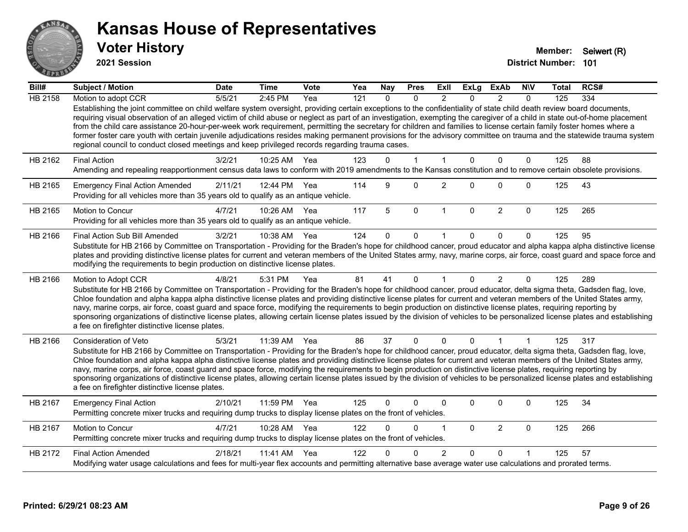

**2021 Session**

| Bill#          | <b>Subject / Motion</b>                                                                                                                                                                                                                                                                                                                                                                                                                                                                                                                                                                                                                                                                                                                                                                               | <b>Date</b> | <b>Time</b>  | Vote | Yea | <b>Nay</b> | <b>Pres</b>  | ExII           | <b>ExLg</b>  | <b>ExAb</b>    | <b>NIV</b>   | Total | RCS# |
|----------------|-------------------------------------------------------------------------------------------------------------------------------------------------------------------------------------------------------------------------------------------------------------------------------------------------------------------------------------------------------------------------------------------------------------------------------------------------------------------------------------------------------------------------------------------------------------------------------------------------------------------------------------------------------------------------------------------------------------------------------------------------------------------------------------------------------|-------------|--------------|------|-----|------------|--------------|----------------|--------------|----------------|--------------|-------|------|
| <b>HB 2158</b> | Motion to adopt CCR                                                                                                                                                                                                                                                                                                                                                                                                                                                                                                                                                                                                                                                                                                                                                                                   | 5/5/21      | 2:45 PM      | Yea  | 121 | $\Omega$   | $\Omega$     | $\mathfrak{p}$ | $\Omega$     | $\mathcal{P}$  | $\Omega$     | 125   | 334  |
|                | Establishing the joint committee on child welfare system oversight, providing certain exceptions to the confidentiality of state child death review board documents,<br>requiring visual observation of an alleged victim of child abuse or neglect as part of an investigation, exempting the caregiver of a child in state out-of-home placement<br>from the child care assistance 20-hour-per-week work requirement, permitting the secretary for children and families to license certain family foster homes where a<br>former foster care youth with certain juvenile adjudications resides making permanent provisions for the advisory committee on trauma and the statewide trauma system<br>regional council to conduct closed meetings and keep privileged records regarding trauma cases. |             |              |      |     |            |              |                |              |                |              |       |      |
| HB 2162        | <b>Final Action</b>                                                                                                                                                                                                                                                                                                                                                                                                                                                                                                                                                                                                                                                                                                                                                                                   | 3/2/21      | 10:25 AM     | Yea  | 123 | $\Omega$   | 1            | 1              | $\Omega$     | $\mathbf{0}$   | $\mathbf{0}$ | 125   | 88   |
|                | Amending and repealing reapportionment census data laws to conform with 2019 amendments to the Kansas constitution and to remove certain obsolete provisions.                                                                                                                                                                                                                                                                                                                                                                                                                                                                                                                                                                                                                                         |             |              |      |     |            |              |                |              |                |              |       |      |
| HB 2165        | <b>Emergency Final Action Amended</b><br>Providing for all vehicles more than 35 years old to qualify as an antique vehicle.                                                                                                                                                                                                                                                                                                                                                                                                                                                                                                                                                                                                                                                                          | 2/11/21     | 12:44 PM Yea |      | 114 | 9          | $\Omega$     | $\overline{c}$ | $\Omega$     | $\Omega$       | $\mathbf 0$  | 125   | 43   |
| HB 2165        | <b>Motion to Concur</b><br>Providing for all vehicles more than 35 years old to qualify as an antique vehicle.                                                                                                                                                                                                                                                                                                                                                                                                                                                                                                                                                                                                                                                                                        | 4/7/21      | 10:26 AM     | Yea  | 117 | 5          | $\mathbf 0$  | $\overline{1}$ | $\mathbf{0}$ | $\overline{2}$ | $\mathbf{0}$ | 125   | 265  |
| HB 2166        | Final Action Sub Bill Amended                                                                                                                                                                                                                                                                                                                                                                                                                                                                                                                                                                                                                                                                                                                                                                         | 3/2/21      | 10:38 AM     | Yea  | 124 | $\Omega$   | $\Omega$     |                | 0            | $\Omega$       | $\Omega$     | 125   | 95   |
|                | Substitute for HB 2166 by Committee on Transportation - Providing for the Braden's hope for childhood cancer, proud educator and alpha kappa alpha distinctive license<br>plates and providing distinctive license plates for current and veteran members of the United States army, navy, marine corps, air force, coast guard and space force and<br>modifying the requirements to begin production on distinctive license plates.                                                                                                                                                                                                                                                                                                                                                                  |             |              |      |     |            |              |                |              |                |              |       |      |
| HB 2166        | Motion to Adopt CCR                                                                                                                                                                                                                                                                                                                                                                                                                                                                                                                                                                                                                                                                                                                                                                                   | 4/8/21      | 5:31 PM      | Yea  | 81  | 41         | $\mathbf{0}$ | $\mathbf{1}$   | $\Omega$     | $\overline{2}$ | $\Omega$     | 125   | 289  |
|                | Substitute for HB 2166 by Committee on Transportation - Providing for the Braden's hope for childhood cancer, proud educator, delta sigma theta, Gadsden flag, love,<br>Chloe foundation and alpha kappa alpha distinctive license plates and providing distinctive license plates for current and veteran members of the United States army,<br>navy, marine corps, air force, coast guard and space force, modifying the requirements to begin production on distinctive license plates, requiring reporting by<br>sponsoring organizations of distinctive license plates, allowing certain license plates issued by the division of vehicles to be personalized license plates and establishing<br>a fee on firefighter distinctive license plates.                                                |             |              |      |     |            |              |                |              |                |              |       |      |
| HB 2166        | <b>Consideration of Veto</b>                                                                                                                                                                                                                                                                                                                                                                                                                                                                                                                                                                                                                                                                                                                                                                          | 5/3/21      | 11:39 AM     | Yea  | 86  | 37         | $\mathbf{0}$ | $\Omega$       | $\Omega$     | 1              | $\mathbf{1}$ | 125   | 317  |
|                | Substitute for HB 2166 by Committee on Transportation - Providing for the Braden's hope for childhood cancer, proud educator, delta sigma theta, Gadsden flag, love,<br>Chloe foundation and alpha kappa alpha distinctive license plates and providing distinctive license plates for current and veteran members of the United States army,<br>navy, marine corps, air force, coast guard and space force, modifying the requirements to begin production on distinctive license plates, requiring reporting by<br>sponsoring organizations of distinctive license plates, allowing certain license plates issued by the division of vehicles to be personalized license plates and establishing<br>a fee on firefighter distinctive license plates.                                                |             |              |      |     |            |              |                |              |                |              |       |      |
| HB 2167        | <b>Emergency Final Action</b><br>Permitting concrete mixer trucks and requiring dump trucks to display license plates on the front of vehicles.                                                                                                                                                                                                                                                                                                                                                                                                                                                                                                                                                                                                                                                       | 2/10/21     | 11:59 PM     | Yea  | 125 | $\Omega$   | 0            | $\Omega$       | 0            | 0              | $\mathbf 0$  | 125   | 34   |
| HB 2167        | Motion to Concur<br>Permitting concrete mixer trucks and requiring dump trucks to display license plates on the front of vehicles.                                                                                                                                                                                                                                                                                                                                                                                                                                                                                                                                                                                                                                                                    | 4/7/21      | 10:28 AM     | Yea  | 122 | $\Omega$   | $\Omega$     | 1              | $\Omega$     | $\overline{2}$ | $\mathbf 0$  | 125   | 266  |
| HB 2172        | <b>Final Action Amended</b>                                                                                                                                                                                                                                                                                                                                                                                                                                                                                                                                                                                                                                                                                                                                                                           | 2/18/21     | 11:41 AM     | Yea  | 122 |            | 0            | $\overline{2}$ | $\Omega$     | $\Omega$       |              | 125   | 57   |
|                | Modifying water usage calculations and fees for multi-year flex accounts and permitting alternative base average water use calculations and prorated terms.                                                                                                                                                                                                                                                                                                                                                                                                                                                                                                                                                                                                                                           |             |              |      |     |            |              |                |              |                |              |       |      |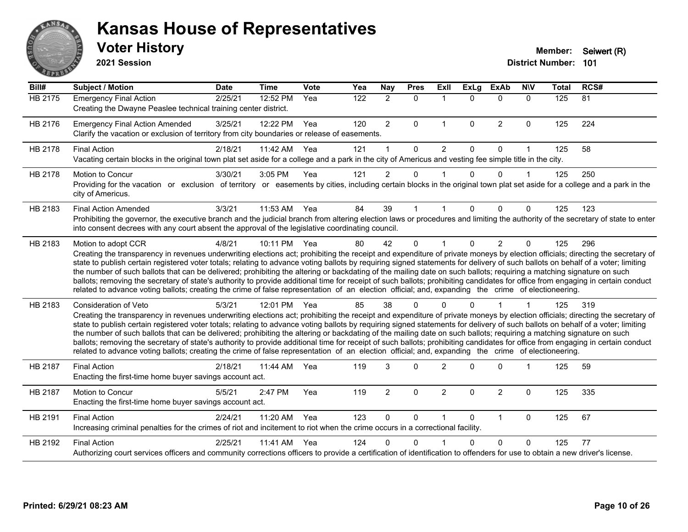

**2021 Session**

| Bill#          | <b>Subject / Motion</b>                                                                                                                                                                                                                                                                                                                                                                                                                                                                                                                                                                                                                                                                                                                                                                                                                                                                                           | <b>Date</b> | <b>Time</b> | Vote | Yea              | <b>Nay</b>     | <b>Pres</b> | ExII           | <b>ExLg</b> | <b>ExAb</b>    | <b>NIV</b>   | <b>Total</b> | RCS# |
|----------------|-------------------------------------------------------------------------------------------------------------------------------------------------------------------------------------------------------------------------------------------------------------------------------------------------------------------------------------------------------------------------------------------------------------------------------------------------------------------------------------------------------------------------------------------------------------------------------------------------------------------------------------------------------------------------------------------------------------------------------------------------------------------------------------------------------------------------------------------------------------------------------------------------------------------|-------------|-------------|------|------------------|----------------|-------------|----------------|-------------|----------------|--------------|--------------|------|
| <b>HB 2175</b> | <b>Emergency Final Action</b><br>Creating the Dwayne Peaslee technical training center district.                                                                                                                                                                                                                                                                                                                                                                                                                                                                                                                                                                                                                                                                                                                                                                                                                  | 2/25/21     | 12:52 PM    | Yea  | $\overline{122}$ | $\overline{2}$ | $\Omega$    | $\mathbf 1$    | $\Omega$    | $\Omega$       | $\Omega$     | 125          | 81   |
| HB 2176        | <b>Emergency Final Action Amended</b><br>Clarify the vacation or exclusion of territory from city boundaries or release of easements.                                                                                                                                                                                                                                                                                                                                                                                                                                                                                                                                                                                                                                                                                                                                                                             | 3/25/21     | 12:22 PM    | Yea  | 120              | $\overline{2}$ | 0           | $\mathbf{1}$   | 0           | $\overline{2}$ | $\mathbf 0$  | 125          | 224  |
| HB 2178        | <b>Final Action</b><br>Vacating certain blocks in the original town plat set aside for a college and a park in the city of Americus and vesting fee simple title in the city.                                                                                                                                                                                                                                                                                                                                                                                                                                                                                                                                                                                                                                                                                                                                     | 2/18/21     | 11:42 AM    | Yea  | 121              | 1              | $\Omega$    | $\overline{2}$ | $\Omega$    | $\mathbf{0}$   | $\mathbf{1}$ | 125          | 58   |
| HB 2178        | <b>Motion to Concur</b><br>Providing for the vacation or exclusion of territory or easements by cities, including certain blocks in the original town plat set aside for a college and a park in the<br>city of Americus.                                                                                                                                                                                                                                                                                                                                                                                                                                                                                                                                                                                                                                                                                         | 3/30/21     | 3:05 PM     | Yea  | 121              | $\overline{2}$ | 0           |                | $\Omega$    | $\Omega$       | $\mathbf 1$  | 125          | 250  |
| HB 2183        | <b>Final Action Amended</b><br>Prohibiting the governor, the executive branch and the judicial branch from altering election laws or procedures and limiting the authority of the secretary of state to enter<br>into consent decrees with any court absent the approval of the legislative coordinating council.                                                                                                                                                                                                                                                                                                                                                                                                                                                                                                                                                                                                 | 3/3/21      | 11:53 AM    | Yea  | 84               | 39             |             |                | 0           | $\Omega$       | $\Omega$     | 125          | 123  |
| HB 2183        | Motion to adopt CCR<br>Creating the transparency in revenues underwriting elections act; prohibiting the receipt and expenditure of private moneys by election officials; directing the secretary of<br>state to publish certain registered voter totals; relating to advance voting ballots by requiring signed statements for delivery of such ballots on behalf of a voter; limiting<br>the number of such ballots that can be delivered; prohibiting the altering or backdating of the mailing date on such ballots; requiring a matching signature on such<br>ballots; removing the secretary of state's authority to provide additional time for receipt of such ballots; prohibiting candidates for office from engaging in certain conduct<br>related to advance voting ballots; creating the crime of false representation of an election official; and, expanding the crime of electioneering.          | 4/8/21      | 10:11 PM    | Yea  | 80               | 42             | $\Omega$    |                | $\Omega$    | $\overline{2}$ | $\mathbf{0}$ | 125          | 296  |
| HB 2183        | <b>Consideration of Veto</b><br>Creating the transparency in revenues underwriting elections act; prohibiting the receipt and expenditure of private moneys by election officials; directing the secretary of<br>state to publish certain registered voter totals; relating to advance voting ballots by requiring signed statements for delivery of such ballots on behalf of a voter; limiting<br>the number of such ballots that can be delivered; prohibiting the altering or backdating of the mailing date on such ballots; requiring a matching signature on such<br>ballots; removing the secretary of state's authority to provide additional time for receipt of such ballots; prohibiting candidates for office from engaging in certain conduct<br>related to advance voting ballots; creating the crime of false representation of an election official; and, expanding the crime of electioneering. | 5/3/21      | 12:01 PM    | Yea  | 85               | 38             | ∩           |                |             |                |              | 125          | 319  |
| HB 2187        | <b>Final Action</b><br>Enacting the first-time home buyer savings account act.                                                                                                                                                                                                                                                                                                                                                                                                                                                                                                                                                                                                                                                                                                                                                                                                                                    | 2/18/21     | 11:44 AM    | Yea  | 119              | 3              | $\Omega$    | $\overline{2}$ | 0           | $\Omega$       |              | 125          | 59   |
| HB 2187        | Motion to Concur<br>Enacting the first-time home buyer savings account act.                                                                                                                                                                                                                                                                                                                                                                                                                                                                                                                                                                                                                                                                                                                                                                                                                                       | 5/5/21      | 2:47 PM     | Yea  | 119              | $\overline{2}$ | 0           | $\overline{2}$ | $\Omega$    | $\overline{2}$ | $\mathbf 0$  | 125          | 335  |
| HB 2191        | <b>Final Action</b><br>Increasing criminal penalties for the crimes of riot and incitement to riot when the crime occurs in a correctional facility.                                                                                                                                                                                                                                                                                                                                                                                                                                                                                                                                                                                                                                                                                                                                                              | 2/24/21     | 11:20 AM    | Yea  | 123              | $\Omega$       | 0           |                | $\Omega$    | $\mathbf{1}$   | 0            | 125          | 67   |
| HB 2192        | <b>Final Action</b><br>Authorizing court services officers and community corrections officers to provide a certification of identification to offenders for use to obtain a new driver's license.                                                                                                                                                                                                                                                                                                                                                                                                                                                                                                                                                                                                                                                                                                                 | 2/25/21     | 11:41 AM    | Yea  | 124              | 0              | $\Omega$    |                | 0           | $\Omega$       | 0            | 125          | 77   |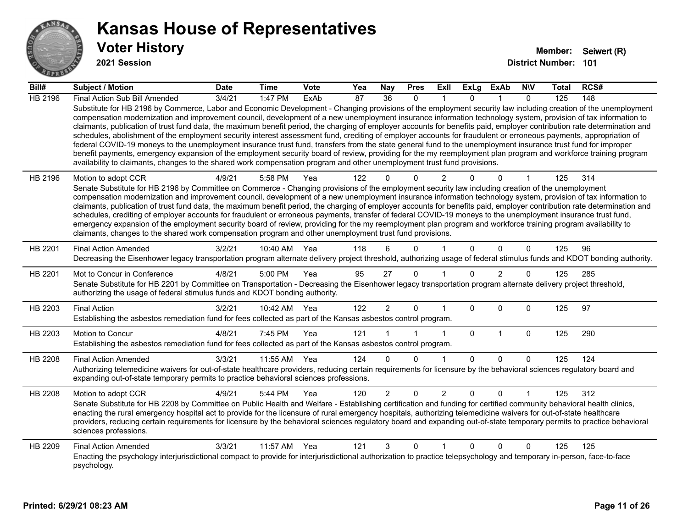

**2021 Session**

| Bill#   | Subject / Motion                                                                                                                                                                                                                                                                                                                                                                                                                                                                                                                                                                                                                                                                                                                                                                                                                                                                                                                                                                                                                                                                                                                                  | <b>Date</b>     | <b>Time</b>  | <b>Vote</b> | Yea | <b>Nay</b>     | <b>Pres</b>  | ExII           | <b>ExLg</b> | <b>ExAb</b>    | <b>NIV</b>   | Total | RCS# |
|---------|---------------------------------------------------------------------------------------------------------------------------------------------------------------------------------------------------------------------------------------------------------------------------------------------------------------------------------------------------------------------------------------------------------------------------------------------------------------------------------------------------------------------------------------------------------------------------------------------------------------------------------------------------------------------------------------------------------------------------------------------------------------------------------------------------------------------------------------------------------------------------------------------------------------------------------------------------------------------------------------------------------------------------------------------------------------------------------------------------------------------------------------------------|-----------------|--------------|-------------|-----|----------------|--------------|----------------|-------------|----------------|--------------|-------|------|
| HB 2196 | Final Action Sub Bill Amended                                                                                                                                                                                                                                                                                                                                                                                                                                                                                                                                                                                                                                                                                                                                                                                                                                                                                                                                                                                                                                                                                                                     | $\sqrt{3}/4/21$ | $1:47$ PM    | ExAb        | 87  | 36             | $\Omega$     |                | $\Omega$    |                | $\Omega$     | 125   | 148  |
|         | Substitute for HB 2196 by Commerce, Labor and Economic Development - Changing provisions of the employment security law including creation of the unemployment<br>compensation modernization and improvement council, development of a new unemployment insurance information technology system, provision of tax information to<br>claimants, publication of trust fund data, the maximum benefit period, the charging of employer accounts for benefits paid, employer contribution rate determination and<br>schedules, abolishment of the employment security interest assessment fund, crediting of employer accounts for fraudulent or erroneous payments, appropriation of<br>federal COVID-19 moneys to the unemployment insurance trust fund, transfers from the state general fund to the unemployment insurance trust fund for improper<br>benefit payments, emergency expansion of the employment security board of review, providing for the my reemployment plan program and workforce training program<br>availability to claimants, changes to the shared work compensation program and other unemployment trust fund provisions. |                 |              |             |     |                |              |                |             |                |              |       |      |
| HB 2196 | Motion to adopt CCR                                                                                                                                                                                                                                                                                                                                                                                                                                                                                                                                                                                                                                                                                                                                                                                                                                                                                                                                                                                                                                                                                                                               | 4/9/21          | 5:58 PM      | Yea         | 122 | 0              | $\Omega$     | $\overline{2}$ |             | $\Omega$       |              | 125   | 314  |
|         | Senate Substitute for HB 2196 by Committee on Commerce - Changing provisions of the employment security law including creation of the unemployment<br>compensation modernization and improvement council, development of a new unemployment insurance information technology system, provision of tax information to                                                                                                                                                                                                                                                                                                                                                                                                                                                                                                                                                                                                                                                                                                                                                                                                                              |                 |              |             |     |                |              |                |             |                |              |       |      |
|         | claimants, publication of trust fund data, the maximum benefit period, the charging of employer accounts for benefits paid, employer contribution rate determination and                                                                                                                                                                                                                                                                                                                                                                                                                                                                                                                                                                                                                                                                                                                                                                                                                                                                                                                                                                          |                 |              |             |     |                |              |                |             |                |              |       |      |
|         | schedules, crediting of employer accounts for fraudulent or erroneous payments, transfer of federal COVID-19 moneys to the unemployment insurance trust fund,                                                                                                                                                                                                                                                                                                                                                                                                                                                                                                                                                                                                                                                                                                                                                                                                                                                                                                                                                                                     |                 |              |             |     |                |              |                |             |                |              |       |      |
|         | emergency expansion of the employment security board of review, providing for the my reemployment plan program and workforce training program availability to<br>claimants, changes to the shared work compensation program and other unemployment trust fund provisions.                                                                                                                                                                                                                                                                                                                                                                                                                                                                                                                                                                                                                                                                                                                                                                                                                                                                         |                 |              |             |     |                |              |                |             |                |              |       |      |
|         |                                                                                                                                                                                                                                                                                                                                                                                                                                                                                                                                                                                                                                                                                                                                                                                                                                                                                                                                                                                                                                                                                                                                                   |                 |              |             |     |                |              |                |             |                |              |       |      |
| HB 2201 | <b>Final Action Amended</b><br>Decreasing the Eisenhower legacy transportation program alternate delivery project threshold, authorizing usage of federal stimulus funds and KDOT bonding authority.                                                                                                                                                                                                                                                                                                                                                                                                                                                                                                                                                                                                                                                                                                                                                                                                                                                                                                                                              | 3/2/21          | 10:40 AM     | Yea         | 118 | 6              | $\Omega$     |                | $\Omega$    | $\Omega$       | $\mathbf{0}$ | 125   | 96   |
|         |                                                                                                                                                                                                                                                                                                                                                                                                                                                                                                                                                                                                                                                                                                                                                                                                                                                                                                                                                                                                                                                                                                                                                   |                 |              |             |     |                |              |                |             |                |              |       |      |
| HB 2201 | Mot to Concur in Conference<br>Senate Substitute for HB 2201 by Committee on Transportation - Decreasing the Eisenhower legacy transportation program alternate delivery project threshold,                                                                                                                                                                                                                                                                                                                                                                                                                                                                                                                                                                                                                                                                                                                                                                                                                                                                                                                                                       | 4/8/21          | 5:00 PM      | Yea         | 95  | 27             | $\mathbf{0}$ |                | $\Omega$    | $\overline{2}$ | $\Omega$     | 125   | 285  |
|         | authorizing the usage of federal stimulus funds and KDOT bonding authority.                                                                                                                                                                                                                                                                                                                                                                                                                                                                                                                                                                                                                                                                                                                                                                                                                                                                                                                                                                                                                                                                       |                 |              |             |     |                |              |                |             |                |              |       |      |
| HB 2203 | <b>Final Action</b>                                                                                                                                                                                                                                                                                                                                                                                                                                                                                                                                                                                                                                                                                                                                                                                                                                                                                                                                                                                                                                                                                                                               | 3/2/21          | 10:42 AM Yea |             | 122 | $\overline{2}$ | $\mathbf{0}$ | 1              | $\Omega$    | $\Omega$       | $\mathbf 0$  | 125   | 97   |
|         | Establishing the asbestos remediation fund for fees collected as part of the Kansas asbestos control program.                                                                                                                                                                                                                                                                                                                                                                                                                                                                                                                                                                                                                                                                                                                                                                                                                                                                                                                                                                                                                                     |                 |              |             |     |                |              |                |             |                |              |       |      |
| HB 2203 | Motion to Concur                                                                                                                                                                                                                                                                                                                                                                                                                                                                                                                                                                                                                                                                                                                                                                                                                                                                                                                                                                                                                                                                                                                                  | 4/8/21          | 7:45 PM      | Yea         | 121 |                |              | 1              | $\mathbf 0$ | $\mathbf{1}$   | $\mathbf 0$  | 125   | 290  |
|         | Establishing the asbestos remediation fund for fees collected as part of the Kansas asbestos control program.                                                                                                                                                                                                                                                                                                                                                                                                                                                                                                                                                                                                                                                                                                                                                                                                                                                                                                                                                                                                                                     |                 |              |             |     |                |              |                |             |                |              |       |      |
| HB 2208 | <b>Final Action Amended</b>                                                                                                                                                                                                                                                                                                                                                                                                                                                                                                                                                                                                                                                                                                                                                                                                                                                                                                                                                                                                                                                                                                                       | 3/3/21          | 11:55 AM     | Yea         | 124 | $\Omega$       | $\Omega$     | 1              | $\Omega$    | $\Omega$       | $\mathbf{0}$ | 125   | 124  |
|         | Authorizing telemedicine waivers for out-of-state healthcare providers, reducing certain requirements for licensure by the behavioral sciences regulatory board and                                                                                                                                                                                                                                                                                                                                                                                                                                                                                                                                                                                                                                                                                                                                                                                                                                                                                                                                                                               |                 |              |             |     |                |              |                |             |                |              |       |      |
|         | expanding out-of-state temporary permits to practice behavioral sciences professions.                                                                                                                                                                                                                                                                                                                                                                                                                                                                                                                                                                                                                                                                                                                                                                                                                                                                                                                                                                                                                                                             |                 |              |             |     |                |              |                |             |                |              |       |      |
| HB 2208 | Motion to adopt CCR                                                                                                                                                                                                                                                                                                                                                                                                                                                                                                                                                                                                                                                                                                                                                                                                                                                                                                                                                                                                                                                                                                                               | 4/9/21          | 5:44 PM      | Yea         | 120 | $\overline{2}$ | $\mathbf 0$  | $\overline{2}$ | 0           | 0              |              | 125   | 312  |
|         | Senate Substitute for HB 2208 by Committee on Public Health and Welfare - Establishing certification and funding for certified community behavioral health clinics,<br>enacting the rural emergency hospital act to provide for the licensure of rural emergency hospitals, authorizing telemedicine waivers for out-of-state healthcare                                                                                                                                                                                                                                                                                                                                                                                                                                                                                                                                                                                                                                                                                                                                                                                                          |                 |              |             |     |                |              |                |             |                |              |       |      |
|         | providers, reducing certain requirements for licensure by the behavioral sciences regulatory board and expanding out-of-state temporary permits to practice behavioral                                                                                                                                                                                                                                                                                                                                                                                                                                                                                                                                                                                                                                                                                                                                                                                                                                                                                                                                                                            |                 |              |             |     |                |              |                |             |                |              |       |      |
|         | sciences professions.                                                                                                                                                                                                                                                                                                                                                                                                                                                                                                                                                                                                                                                                                                                                                                                                                                                                                                                                                                                                                                                                                                                             |                 |              |             |     |                |              |                |             |                |              |       |      |
| HB 2209 | <b>Final Action Amended</b>                                                                                                                                                                                                                                                                                                                                                                                                                                                                                                                                                                                                                                                                                                                                                                                                                                                                                                                                                                                                                                                                                                                       | 3/3/21          | 11:57 AM     | Yea         | 121 | 3              | $\mathbf 0$  | 1              | 0           | 0              | $\mathbf 0$  | 125   | 125  |
|         | Enacting the psychology interjurisdictional compact to provide for interjurisdictional authorization to practice telepsychology and temporary in-person, face-to-face<br>psychology.                                                                                                                                                                                                                                                                                                                                                                                                                                                                                                                                                                                                                                                                                                                                                                                                                                                                                                                                                              |                 |              |             |     |                |              |                |             |                |              |       |      |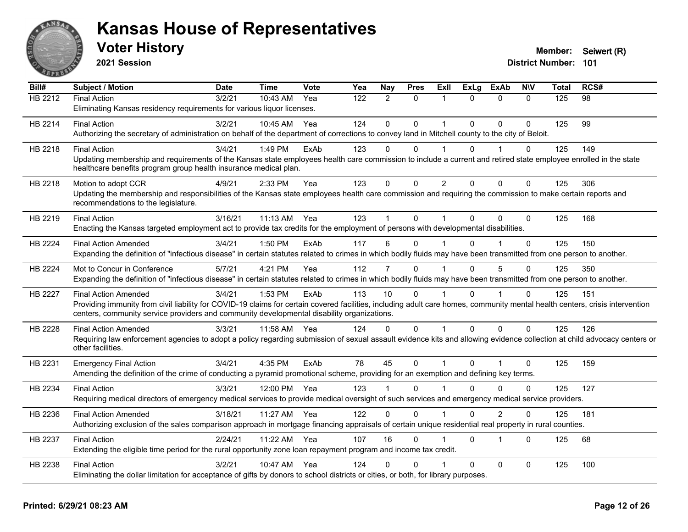

**2021 Session**

| Bill#          | <b>Subject / Motion</b>                                                                                                                                                      | <b>Date</b> | <b>Time</b> | Vote | Yea | Nay          | <b>Pres</b> | ExII           | <b>ExLg</b>  | <b>ExAb</b>             | <b>NIV</b>  | <b>Total</b> | RCS# |
|----------------|------------------------------------------------------------------------------------------------------------------------------------------------------------------------------|-------------|-------------|------|-----|--------------|-------------|----------------|--------------|-------------------------|-------------|--------------|------|
| HB 2212        | <b>Final Action</b>                                                                                                                                                          | 3/2/21      | $10:43$ AM  | Yea  | 122 | 2            | $\Omega$    | 1              | $\Omega$     | $\Omega$                | $\Omega$    | 125          | 98   |
|                | Eliminating Kansas residency requirements for various liquor licenses.                                                                                                       |             |             |      |     |              |             |                |              |                         |             |              |      |
| HB 2214        | <b>Final Action</b>                                                                                                                                                          | 3/2/21      | 10:45 AM    | Yea  | 124 | $\mathbf{0}$ | $\Omega$    | 1              | $\Omega$     | $\Omega$                | $\Omega$    | 125          | 99   |
|                | Authorizing the secretary of administration on behalf of the department of corrections to convey land in Mitchell county to the city of Beloit.                              |             |             |      |     |              |             |                |              |                         |             |              |      |
| HB 2218        | <b>Final Action</b>                                                                                                                                                          | 3/4/21      | 1:49 PM     | ExAb | 123 | $\Omega$     | $\Omega$    | $\overline{1}$ | 0            | 1                       | $\Omega$    | 125          | 149  |
|                | Updating membership and requirements of the Kansas state employees health care commission to include a current and retired state employee enrolled in the state              |             |             |      |     |              |             |                |              |                         |             |              |      |
|                | healthcare benefits program group health insurance medical plan.                                                                                                             |             |             |      |     |              |             |                |              |                         |             |              |      |
| HB 2218        | Motion to adopt CCR                                                                                                                                                          | 4/9/21      | 2:33 PM     | Yea  | 123 | $\mathbf 0$  | 0           | $\overline{c}$ | $\Omega$     | $\mathbf{0}$            | $\mathbf 0$ | 125          | 306  |
|                | Updating the membership and responsibilities of the Kansas state employees health care commission and requiring the commission to make certain reports and                   |             |             |      |     |              |             |                |              |                         |             |              |      |
|                | recommendations to the legislature.                                                                                                                                          |             |             |      |     |              |             |                |              |                         |             |              |      |
| HB 2219        | <b>Final Action</b>                                                                                                                                                          | 3/16/21     | 11:13 AM    | Yea  | 123 |              | $\Omega$    | 1              | $\Omega$     | $\Omega$                | $\Omega$    | 125          | 168  |
|                | Enacting the Kansas targeted employment act to provide tax credits for the employment of persons with developmental disabilities.                                            |             |             |      |     |              |             |                |              |                         |             |              |      |
| <b>HB 2224</b> | <b>Final Action Amended</b>                                                                                                                                                  | 3/4/21      | 1:50 PM     | ExAb | 117 | 6            | 0           |                | $\Omega$     |                         | $\Omega$    | 125          | 150  |
|                | Expanding the definition of "infectious disease" in certain statutes related to crimes in which bodily fluids may have been transmitted from one person to another.          |             |             |      |     |              |             |                |              |                         |             |              |      |
| HB 2224        | Mot to Concur in Conference                                                                                                                                                  | 5/7/21      | 4:21 PM     | Yea  | 112 | 7            | $\Omega$    |                | $\Omega$     | $\overline{5}$          | $\Omega$    | 125          | 350  |
|                | Expanding the definition of "infectious disease" in certain statutes related to crimes in which bodily fluids may have been transmitted from one person to another.          |             |             |      |     |              |             |                |              |                         |             |              |      |
| <b>HB 2227</b> | <b>Final Action Amended</b>                                                                                                                                                  | 3/4/21      | 1:53 PM     | ExAb | 113 | 10           | $\Omega$    |                | $\Omega$     |                         | $\Omega$    | 125          | 151  |
|                | Providing immunity from civil liability for COVID-19 claims for certain covered facilities, including adult care homes, community mental health centers, crisis intervention |             |             |      |     |              |             |                |              |                         |             |              |      |
|                | centers, community service providers and community developmental disability organizations.                                                                                   |             |             |      |     |              |             |                |              |                         |             |              |      |
| HB 2228        | <b>Final Action Amended</b>                                                                                                                                                  | 3/3/21      | 11:58 AM    | Yea  | 124 | $\Omega$     | $\Omega$    | $\overline{1}$ | $\Omega$     | $\mathbf{0}$            | $\Omega$    | 125          | 126  |
|                | Requiring law enforcement agencies to adopt a policy regarding submission of sexual assault evidence kits and allowing evidence collection at child advocacy centers or      |             |             |      |     |              |             |                |              |                         |             |              |      |
|                | other facilities.                                                                                                                                                            |             |             |      |     |              |             |                |              |                         |             |              |      |
| HB 2231        | <b>Emergency Final Action</b>                                                                                                                                                | 3/4/21      | 4:35 PM     | ExAb | 78  | 45           | $\mathbf 0$ | $\mathbf{1}$   | $\mathbf{0}$ | $\overline{1}$          | $\Omega$    | 125          | 159  |
|                | Amending the definition of the crime of conducting a pyramid promotional scheme, providing for an exemption and defining key terms.                                          |             |             |      |     |              |             |                |              |                         |             |              |      |
| HB 2234        | <b>Final Action</b>                                                                                                                                                          | 3/3/21      | 12:00 PM    | Yea  | 123 |              | $\Omega$    |                | 0            | $\Omega$                | 0           | 125          | 127  |
|                | Requiring medical directors of emergency medical services to provide medical oversight of such services and emergency medical service providers.                             |             |             |      |     |              |             |                |              |                         |             |              |      |
| HB 2236        | <b>Final Action Amended</b>                                                                                                                                                  | 3/18/21     | 11:27 AM    | Yea  | 122 | $\Omega$     | 0           |                | $\Omega$     | 2                       | 0           | 125          | 181  |
|                | Authorizing exclusion of the sales comparison approach in mortgage financing appraisals of certain unique residential real property in rural counties.                       |             |             |      |     |              |             |                |              |                         |             |              |      |
| HB 2237        | <b>Final Action</b>                                                                                                                                                          | 2/24/21     | 11:22 AM    | Yea  | 107 | 16           | $\Omega$    |                | $\Omega$     | $\overline{\mathbf{1}}$ | $\Omega$    | 125          | 68   |
|                | Extending the eligible time period for the rural opportunity zone loan repayment program and income tax credit.                                                              |             |             |      |     |              |             |                |              |                         |             |              |      |
| HB 2238        | <b>Final Action</b>                                                                                                                                                          | 3/2/21      | 10:47 AM    | Yea  | 124 | 0            | 0           |                | $\Omega$     | $\mathbf{0}$            | 0           | 125          | 100  |
|                | Eliminating the dollar limitation for acceptance of gifts by donors to school districts or cities, or both, for library purposes.                                            |             |             |      |     |              |             |                |              |                         |             |              |      |
|                |                                                                                                                                                                              |             |             |      |     |              |             |                |              |                         |             |              |      |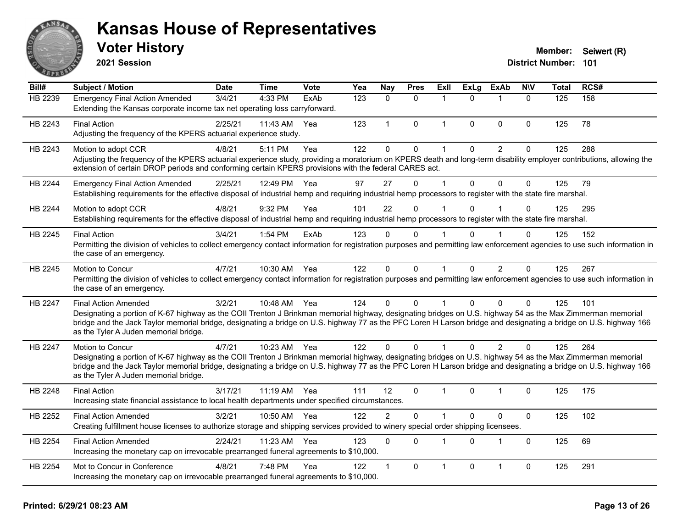

**2021 Session**

| Bill#          | <b>Subject / Motion</b>                                                                                                                                                                                                                                                                                                                                                                                  | <b>Date</b> | <b>Time</b>  | Vote | Yea | Nay            | <b>Pres</b> | ExII         | <b>ExLg</b>  | <b>ExAb</b>    | <b>NIV</b>   | <b>Total</b> | RCS# |
|----------------|----------------------------------------------------------------------------------------------------------------------------------------------------------------------------------------------------------------------------------------------------------------------------------------------------------------------------------------------------------------------------------------------------------|-------------|--------------|------|-----|----------------|-------------|--------------|--------------|----------------|--------------|--------------|------|
| HB 2239        | <b>Emergency Final Action Amended</b><br>Extending the Kansas corporate income tax net operating loss carryforward.                                                                                                                                                                                                                                                                                      | 3/4/21      | 4:33 PM      | ExAb | 123 | $\Omega$       | $\Omega$    | 1            | $\Omega$     | -1             | $\Omega$     | 125          | 158  |
| HB 2243        | <b>Final Action</b><br>Adjusting the frequency of the KPERS actuarial experience study.                                                                                                                                                                                                                                                                                                                  | 2/25/21     | 11:43 AM     | Yea  | 123 | $\mathbf 1$    | $\mathbf 0$ | $\mathbf{1}$ | $\mathbf{0}$ | $\mathbf{0}$   | $\Omega$     | 125          | 78   |
| HB 2243        | Motion to adopt CCR<br>Adjusting the frequency of the KPERS actuarial experience study, providing a moratorium on KPERS death and long-term disability employer contributions, allowing the<br>extension of certain DROP periods and conforming certain KPERS provisions with the federal CARES act.                                                                                                     | 4/8/21      | 5:11 PM      | Yea  | 122 | $\mathbf{0}$   | 0           | $\mathbf{1}$ | $\mathbf{0}$ | $\overline{c}$ | $\pmb{0}$    | 125          | 288  |
| HB 2244        | <b>Emergency Final Action Amended</b><br>Establishing requirements for the effective disposal of industrial hemp and requiring industrial hemp processors to register with the state fire marshal.                                                                                                                                                                                                       | 2/25/21     | 12:49 PM     | Yea  | 97  | 27             | $\Omega$    | 1            | $\mathbf{0}$ | $\mathbf{0}$   | $\mathbf 0$  | 125          | 79   |
| HB 2244        | Motion to adopt CCR<br>Establishing requirements for the effective disposal of industrial hemp and requiring industrial hemp processors to register with the state fire marshal.                                                                                                                                                                                                                         | 4/8/21      | 9:32 PM      | Yea  | 101 | 22             | $\Omega$    | 1            | $\Omega$     |                | $\Omega$     | 125          | 295  |
| HB 2245        | <b>Final Action</b><br>Permitting the division of vehicles to collect emergency contact information for registration purposes and permitting law enforcement agencies to use such information in<br>the case of an emergency.                                                                                                                                                                            | 3/4/21      | 1:54 PM      | ExAb | 123 | $\Omega$       | 0           |              | $\Omega$     |                | $\Omega$     | 125          | 152  |
| HB 2245        | Motion to Concur<br>Permitting the division of vehicles to collect emergency contact information for registration purposes and permitting law enforcement agencies to use such information in<br>the case of an emergency.                                                                                                                                                                               | 4/7/21      | 10:30 AM     | Yea  | 122 | $\mathbf{0}$   | $\Omega$    | $\mathbf{1}$ | $\mathbf{0}$ | 2              | $\Omega$     | 125          | 267  |
| HB 2247        | <b>Final Action Amended</b><br>Designating a portion of K-67 highway as the COII Trenton J Brinkman memorial highway, designating bridges on U.S. highway 54 as the Max Zimmerman memorial<br>bridge and the Jack Taylor memorial bridge, designating a bridge on U.S. highway 77 as the PFC Loren H Larson bridge and designating a bridge on U.S. highway 166<br>as the Tyler A Juden memorial bridge. | 3/2/21      | 10:48 AM Yea |      | 124 | $\Omega$       | 0           | 1            | $\Omega$     | $\Omega$       | 0            | 125          | 101  |
| <b>HB 2247</b> | Motion to Concur<br>Designating a portion of K-67 highway as the COII Trenton J Brinkman memorial highway, designating bridges on U.S. highway 54 as the Max Zimmerman memorial<br>bridge and the Jack Taylor memorial bridge, designating a bridge on U.S. highway 77 as the PFC Loren H Larson bridge and designating a bridge on U.S. highway 166<br>as the Tyler A Juden memorial bridge.            | 4/7/21      | 10:23 AM     | Yea  | 122 | $\Omega$       | $\Omega$    |              | $\Omega$     | 2              | $\Omega$     | 125          | 264  |
| HB 2248        | <b>Final Action</b><br>Increasing state financial assistance to local health departments under specified circumstances.                                                                                                                                                                                                                                                                                  | 3/17/21     | $11:19$ AM   | Yea  | 111 | 12             | $\Omega$    | 1            | $\Omega$     | 1              | $\Omega$     | 125          | 175  |
| HB 2252        | <b>Final Action Amended</b><br>Creating fulfillment house licenses to authorize storage and shipping services provided to winery special order shipping licensees.                                                                                                                                                                                                                                       | 3/2/21      | 10:50 AM     | Yea  | 122 | $\overline{2}$ | 0           | 1            | $\mathbf 0$  | $\pmb{0}$      | $\mathbf 0$  | 125          | 102  |
| HB 2254        | <b>Final Action Amended</b><br>Increasing the monetary cap on irrevocable prearranged funeral agreements to \$10,000.                                                                                                                                                                                                                                                                                    | 2/24/21     | 11:23 AM     | Yea  | 123 | $\mathbf{0}$   | $\Omega$    | 1            | $\Omega$     | $\overline{1}$ | $\mathbf{0}$ | 125          | 69   |
| HB 2254        | Mot to Concur in Conference<br>Increasing the monetary cap on irrevocable prearranged funeral agreements to \$10,000.                                                                                                                                                                                                                                                                                    | 4/8/21      | 7:48 PM      | Yea  | 122 | 1              | 0           | 1            | $\mathbf 0$  | $\overline{1}$ | 0            | 125          | 291  |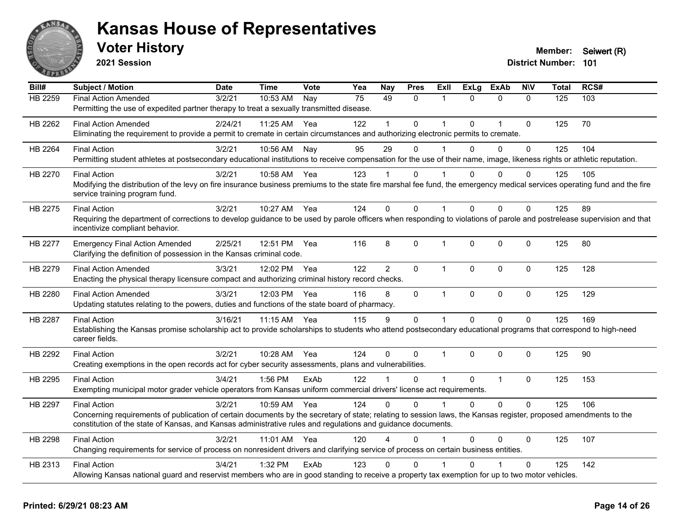

**2021 Session**

| Bill#          | <b>Subject / Motion</b>                                                                                                                                                                                                                                                                                 | <b>Date</b> | <b>Time</b> | Vote | Yea | Nay            | <b>Pres</b>  | ExII                 | <b>ExLg</b> | <b>ExAb</b>  | <b>NIV</b>   | <b>Total</b> | RCS# |
|----------------|---------------------------------------------------------------------------------------------------------------------------------------------------------------------------------------------------------------------------------------------------------------------------------------------------------|-------------|-------------|------|-----|----------------|--------------|----------------------|-------------|--------------|--------------|--------------|------|
| <b>HB 2259</b> | <b>Final Action Amended</b><br>Permitting the use of expedited partner therapy to treat a sexually transmitted disease.                                                                                                                                                                                 | 3/2/21      | 10:53 AM    | Nay  | 75  | 49             | $\mathbf{0}$ | 1                    | $\Omega$    | $\mathbf{0}$ | $\mathbf{0}$ | 125          | 103  |
| HB 2262        | <b>Final Action Amended</b><br>Eliminating the requirement to provide a permit to cremate in certain circumstances and authorizing electronic permits to cremate.                                                                                                                                       | 2/24/21     | 11:25 AM    | Yea  | 122 |                | 0            |                      | $\Omega$    | $\mathbf{1}$ | $\mathbf 0$  | 125          | 70   |
| HB 2264        | <b>Final Action</b><br>Permitting student athletes at postsecondary educational institutions to receive compensation for the use of their name, image, likeness rights or athletic reputation.                                                                                                          | 3/2/21      | 10:56 AM    | Nay  | 95  | 29             | $\Omega$     |                      | $\Omega$    | $\Omega$     | $\mathbf{0}$ | 125          | 104  |
| HB 2270        | <b>Final Action</b><br>Modifying the distribution of the levy on fire insurance business premiums to the state fire marshal fee fund, the emergency medical services operating fund and the fire<br>service training program fund.                                                                      | 3/2/21      | 10:58 AM    | Yea  | 123 |                | $\Omega$     |                      | 0           | $\Omega$     | 0            | 125          | 105  |
| HB 2275        | <b>Final Action</b><br>Requiring the department of corrections to develop guidance to be used by parole officers when responding to violations of parole and postrelease supervision and that<br>incentivize compliant behavior.                                                                        | 3/2/21      | 10:27 AM    | Yea  | 124 | $\Omega$       | $\Omega$     | $\mathbf 1$          | $\Omega$    | $\Omega$     | $\mathbf{0}$ | 125          | 89   |
| HB 2277        | <b>Emergency Final Action Amended</b><br>Clarifying the definition of possession in the Kansas criminal code.                                                                                                                                                                                           | 2/25/21     | 12:51 PM    | Yea  | 116 | 8              | 0            | $\mathbf{1}$         | $\mathbf 0$ | $\Omega$     | 0            | 125          | 80   |
| HB 2279        | <b>Final Action Amended</b><br>Enacting the physical therapy licensure compact and authorizing criminal history record checks.                                                                                                                                                                          | 3/3/21      | 12:02 PM    | Yea  | 122 | $\overline{2}$ | $\mathbf{0}$ | $\blacktriangleleft$ | $\Omega$    | $\mathbf{0}$ | $\mathbf{0}$ | 125          | 128  |
| HB 2280        | <b>Final Action Amended</b><br>Updating statutes relating to the powers, duties and functions of the state board of pharmacy.                                                                                                                                                                           | 3/3/21      | 12:03 PM    | Yea  | 116 | 8              | $\mathbf 0$  | $\mathbf{1}$         | $\mathbf 0$ | $\mathbf 0$  | $\mathbf 0$  | 125          | 129  |
| HB 2287        | <b>Final Action</b><br>Establishing the Kansas promise scholarship act to provide scholarships to students who attend postsecondary educational programs that correspond to high-need<br>career fields.                                                                                                 | 3/16/21     | 11:15 AM    | Yea  | 115 | 9              | $\mathbf 0$  | $\mathbf{1}$         | $\Omega$    | $\Omega$     | $\mathbf 0$  | 125          | 169  |
| HB 2292        | <b>Final Action</b><br>Creating exemptions in the open records act for cyber security assessments, plans and vulnerabilities.                                                                                                                                                                           | 3/2/21      | 10:28 AM    | Yea  | 124 | $\Omega$       | $\Omega$     | 1                    | $\Omega$    | $\Omega$     | $\mathbf{0}$ | 125          | 90   |
| HB 2295        | <b>Final Action</b><br>Exempting municipal motor grader vehicle operators from Kansas uniform commercial drivers' license act requirements.                                                                                                                                                             | 3/4/21      | 1:56 PM     | ExAb | 122 |                | $\mathbf 0$  | $\overline{1}$       | $\mathbf 0$ | $\mathbf{1}$ | $\mathbf 0$  | 125          | 153  |
| HB 2297        | <b>Final Action</b><br>Concerning requirements of publication of certain documents by the secretary of state; relating to session laws, the Kansas register, proposed amendments to the<br>constitution of the state of Kansas, and Kansas administrative rules and regulations and guidance documents. | 3/2/21      | 10:59 AM    | Yea  | 124 | $\Omega$       | $\Omega$     | $\mathbf 1$          | $\Omega$    | $\Omega$     | $\mathbf 0$  | 125          | 106  |
| HB 2298        | <b>Final Action</b><br>Changing requirements for service of process on nonresident drivers and clarifying service of process on certain business entities.                                                                                                                                              | 3/2/21      | $11:01$ AM  | Yea  | 120 |                | $\Omega$     |                      | $\Omega$    | 0            | $\Omega$     | 125          | 107  |
| HB 2313        | <b>Final Action</b><br>Allowing Kansas national guard and reservist members who are in good standing to receive a property tax exemption for up to two motor vehicles.                                                                                                                                  | 3/4/21      | 1:32 PM     | ExAb | 123 | 0              | $\mathbf 0$  |                      | 0           |              | $\mathbf{0}$ | 125          | 142  |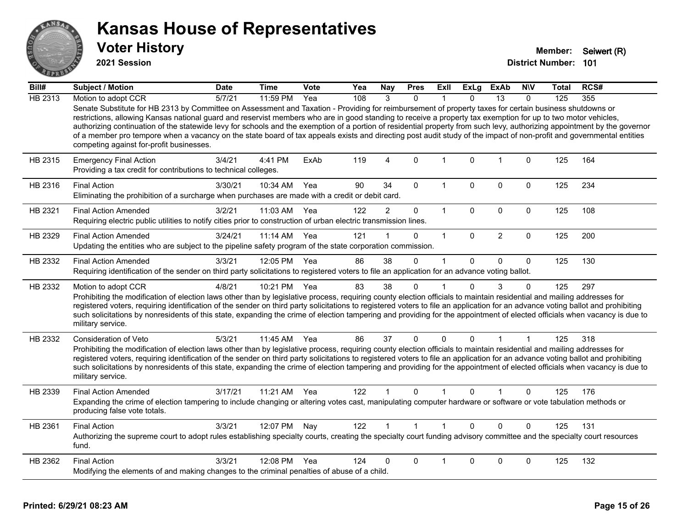

**2021 Session**

| Bill#   | Subject / Motion                                                                                                                                                                                                                                                                                                                                                                                                                                                                                                                                                                                                                                                                                                          | <b>Date</b> | <b>Time</b> | Vote | Yea | Nay            | <b>Pres</b>  | Exll         | <b>ExLg</b>  | ExAb           | <b>NIV</b>   | Total | RCS# |
|---------|---------------------------------------------------------------------------------------------------------------------------------------------------------------------------------------------------------------------------------------------------------------------------------------------------------------------------------------------------------------------------------------------------------------------------------------------------------------------------------------------------------------------------------------------------------------------------------------------------------------------------------------------------------------------------------------------------------------------------|-------------|-------------|------|-----|----------------|--------------|--------------|--------------|----------------|--------------|-------|------|
| HB 2313 | Motion to adopt CCR                                                                                                                                                                                                                                                                                                                                                                                                                                                                                                                                                                                                                                                                                                       | 5/7/21      | 11:59 PM    | Yea  | 108 | 3              | $\Omega$     |              | <sup>n</sup> | 13             | $\Omega$     | 125   | 355  |
|         | Senate Substitute for HB 2313 by Committee on Assessment and Taxation - Providing for reimbursement of property taxes for certain business shutdowns or<br>restrictions, allowing Kansas national guard and reservist members who are in good standing to receive a property tax exemption for up to two motor vehicles,<br>authorizing continuation of the statewide levy for schools and the exemption of a portion of residential property from such levy, authorizing appointment by the governor<br>of a member pro tempore when a vacancy on the state board of tax appeals exists and directing post audit study of the impact of non-profit and governmental entities<br>competing against for-profit businesses. |             |             |      |     |                |              |              |              |                |              |       |      |
| HB 2315 | <b>Emergency Final Action</b><br>Providing a tax credit for contributions to technical colleges.                                                                                                                                                                                                                                                                                                                                                                                                                                                                                                                                                                                                                          | 3/4/21      | 4:41 PM     | ExAb | 119 | 4              | $\mathbf 0$  | $\mathbf{1}$ | $\mathbf 0$  | 1              | $\mathbf 0$  | 125   | 164  |
| HB 2316 | <b>Final Action</b><br>Eliminating the prohibition of a surcharge when purchases are made with a credit or debit card.                                                                                                                                                                                                                                                                                                                                                                                                                                                                                                                                                                                                    | 3/30/21     | 10:34 AM    | Yea  | 90  | 34             | $\mathbf 0$  | 1            | $\Omega$     | $\mathbf 0$    | $\mathbf 0$  | 125   | 234  |
| HB 2321 | <b>Final Action Amended</b><br>Requiring electric public utilities to notify cities prior to construction of urban electric transmission lines.                                                                                                                                                                                                                                                                                                                                                                                                                                                                                                                                                                           | 3/2/21      | 11:03 AM    | Yea  | 122 | $\overline{2}$ | 0            | $\mathbf{1}$ | $\mathbf 0$  | $\mathbf 0$    | $\mathbf 0$  | 125   | 108  |
| HB 2329 | <b>Final Action Amended</b><br>Updating the entities who are subject to the pipeline safety program of the state corporation commission.                                                                                                                                                                                                                                                                                                                                                                                                                                                                                                                                                                                  | 3/24/21     | 11:14 AM    | Yea  | 121 |                | $\Omega$     | $\mathbf{1}$ | $\mathbf{0}$ | $\overline{2}$ | $\mathbf 0$  | 125   | 200  |
| HB 2332 | <b>Final Action Amended</b><br>Requiring identification of the sender on third party solicitations to registered voters to file an application for an advance voting ballot.                                                                                                                                                                                                                                                                                                                                                                                                                                                                                                                                              | 3/3/21      | 12:05 PM    | Yea  | 86  | 38             | $\Omega$     | $\mathbf{1}$ | $\Omega$     | $\mathbf 0$    | $\mathbf{0}$ | 125   | 130  |
| HB 2332 | Motion to adopt CCR<br>Prohibiting the modification of election laws other than by legislative process, requiring county election officials to maintain residential and mailing addresses for<br>registered voters, requiring identification of the sender on third party solicitations to registered voters to file an application for an advance voting ballot and prohibiting<br>such solicitations by nonresidents of this state, expanding the crime of election tampering and providing for the appointment of elected officials when vacancy is due to<br>military service.                                                                                                                                        | 4/8/21      | 10:21 PM    | Yea  | 83  | 38             | $\Omega$     |              | $\Omega$     | 3              | $\Omega$     | 125   | 297  |
| HB 2332 | Consideration of Veto<br>Prohibiting the modification of election laws other than by legislative process, requiring county election officials to maintain residential and mailing addresses for<br>registered voters, requiring identification of the sender on third party solicitations to registered voters to file an application for an advance voting ballot and prohibiting<br>such solicitations by nonresidents of this state, expanding the crime of election tampering and providing for the appointment of elected officials when vacancy is due to<br>military service.                                                                                                                                      | 5/3/21      | 11:45 AM    | Yea  | 86  | 37             | $\Omega$     | 0            | 0            |                | 1            | 125   | 318  |
| HB 2339 | <b>Final Action Amended</b><br>Expanding the crime of election tampering to include changing or altering votes cast, manipulating computer hardware or software or vote tabulation methods or<br>producing false vote totals.                                                                                                                                                                                                                                                                                                                                                                                                                                                                                             | 3/17/21     | 11:21 AM    | Yea  | 122 |                | $\Omega$     |              | 0            |                | $\Omega$     | 125   | 176  |
| HB 2361 | <b>Final Action</b><br>Authorizing the supreme court to adopt rules establishing specialty courts, creating the specialty court funding advisory committee and the specialty court resources<br>fund.                                                                                                                                                                                                                                                                                                                                                                                                                                                                                                                     | 3/3/21      | 12:07 PM    | Nay  | 122 |                | $\mathbf{1}$ | $\mathbf{1}$ | $\Omega$     | $\Omega$       | $\Omega$     | 125   | 131  |
| HB 2362 | <b>Final Action</b><br>Modifying the elements of and making changes to the criminal penalties of abuse of a child.                                                                                                                                                                                                                                                                                                                                                                                                                                                                                                                                                                                                        | 3/3/21      | 12:08 PM    | Yea  | 124 | 0              | $\Omega$     |              | $\Omega$     | $\mathbf 0$    | 0            | 125   | 132  |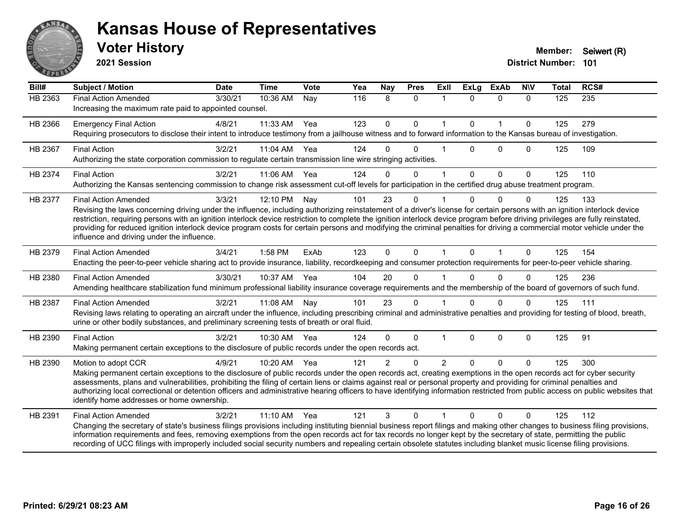

**2021 Session**

| Bill#          | <b>Subject / Motion</b>                                                                                                                                                                                                                                                                                                                                                                                                                                                                                                                                                                                             | <b>Date</b> | <b>Time</b> | <b>Vote</b> | Yea | Nay            | <b>Pres</b>  | <b>Exll</b>    | <b>ExLg</b>  | <b>ExAb</b>  | <b>NIV</b>   | <b>Total</b> | RCS#             |
|----------------|---------------------------------------------------------------------------------------------------------------------------------------------------------------------------------------------------------------------------------------------------------------------------------------------------------------------------------------------------------------------------------------------------------------------------------------------------------------------------------------------------------------------------------------------------------------------------------------------------------------------|-------------|-------------|-------------|-----|----------------|--------------|----------------|--------------|--------------|--------------|--------------|------------------|
| <b>HB 2363</b> | <b>Final Action Amended</b><br>Increasing the maximum rate paid to appointed counsel.                                                                                                                                                                                                                                                                                                                                                                                                                                                                                                                               | 3/30/21     | 10:36 AM    | Nay         | 116 | 8              | $\mathbf{0}$ | $\mathbf 1$    | $\Omega$     | $\mathbf{0}$ | $\Omega$     | 125          | $\overline{235}$ |
| HB 2366        | <b>Emergency Final Action</b><br>Requiring prosecutors to disclose their intent to introduce testimony from a jailhouse witness and to forward information to the Kansas bureau of investigation.                                                                                                                                                                                                                                                                                                                                                                                                                   | 4/8/21      | 11:33 AM    | Yea         | 123 | $\mathbf 0$    | $\mathbf 0$  | $\mathbf{1}$   | $\Omega$     | $\mathbf{1}$ | $\mathbf 0$  | 125          | 279              |
| HB 2367        | <b>Final Action</b><br>Authorizing the state corporation commission to regulate certain transmission line wire stringing activities.                                                                                                                                                                                                                                                                                                                                                                                                                                                                                | 3/2/21      | 11:04 AM    | Yea         | 124 | $\Omega$       | $\Omega$     |                | $\Omega$     | $\Omega$     | $\Omega$     | 125          | 109              |
| HB 2374        | <b>Final Action</b><br>Authorizing the Kansas sentencing commission to change risk assessment cut-off levels for participation in the certified drug abuse treatment program.                                                                                                                                                                                                                                                                                                                                                                                                                                       | 3/2/21      | 11:06 AM    | Yea         | 124 | $\Omega$       | $\mathbf 0$  | 1              | $\mathbf{0}$ | $\mathbf 0$  | $\mathbf{0}$ | 125          | 110              |
| HB 2377        | <b>Final Action Amended</b><br>Revising the laws concerning driving under the influence, including authorizing reinstatement of a driver's license for certain persons with an ignition interlock device<br>restriction, requiring persons with an ignition interlock device restriction to complete the ignition interlock device program before driving privileges are fully reinstated,<br>providing for reduced ignition interlock device program costs for certain persons and modifying the criminal penalties for driving a commercial motor vehicle under the<br>influence and driving under the influence. | 3/3/21      | 12:10 PM    | Nay         | 101 | 23             | $\Omega$     |                | U            | $\Omega$     | 0            | 125          | 133              |
| HB 2379        | <b>Final Action Amended</b><br>Enacting the peer-to-peer vehicle sharing act to provide insurance, liability, recordkeeping and consumer protection requirements for peer-to-peer vehicle sharing.                                                                                                                                                                                                                                                                                                                                                                                                                  | 3/4/21      | 1:58 PM     | ExAb        | 123 | $\mathbf{0}$   | $\mathbf{0}$ | 1              | $\mathbf{0}$ | $\mathbf 1$  | $\Omega$     | 125          | 154              |
| HB 2380        | <b>Final Action Amended</b><br>Amending healthcare stabilization fund minimum professional liability insurance coverage requirements and the membership of the board of governors of such fund.                                                                                                                                                                                                                                                                                                                                                                                                                     | 3/30/21     | 10:37 AM    | Yea         | 104 | 20             | $\Omega$     |                |              | $\Omega$     | $\Omega$     | 125          | 236              |
| HB 2387        | <b>Final Action Amended</b><br>Revising laws relating to operating an aircraft under the influence, including prescribing criminal and administrative penalties and providing for testing of blood, breath,<br>urine or other bodily substances, and preliminary screening tests of breath or oral fluid.                                                                                                                                                                                                                                                                                                           | 3/2/21      | 11:08 AM    | Nay         | 101 | 23             | $\mathbf{0}$ |                | 0            | $\Omega$     | $\Omega$     | 125          | 111              |
| HB 2390        | <b>Final Action</b><br>Making permanent certain exceptions to the disclosure of public records under the open records act.                                                                                                                                                                                                                                                                                                                                                                                                                                                                                          | 3/2/21      | 10:30 AM    | Yea         | 124 | $\Omega$       | $\mathbf 0$  |                | $\Omega$     | $\mathbf 0$  | 0            | 125          | 91               |
| HB 2390        | Motion to adopt CCR<br>Making permanent certain exceptions to the disclosure of public records under the open records act, creating exemptions in the open records act for cyber security<br>assessments, plans and vulnerabilities, prohibiting the filing of certain liens or claims against real or personal property and providing for criminal penalties and<br>authorizing local correctional or detention officers and administrative hearing officers to have identifying information restricted from public access on public websites that<br>identify home addresses or home ownership.                   | 4/9/21      | 10:20 AM    | Yea         | 121 | $\overline{2}$ | $\Omega$     | $\overline{2}$ | $\Omega$     | $\Omega$     | $\Omega$     | 125          | 300              |
| HB 2391        | <b>Final Action Amended</b><br>Changing the secretary of state's business filings provisions including instituting biennial business report filings and making other changes to business filing provisions,<br>information requirements and fees, removing exemptions from the open records act for tax records no longer kept by the secretary of state, permitting the public<br>recording of UCC filings with improperly included social security numbers and repealing certain obsolete statutes including blanket music license filing provisions.                                                             | 3/2/21      | 11:10 AM    | Yea         | 121 | 3              | $\Omega$     |                | $\Omega$     | $\Omega$     | 0            | 125          | 112              |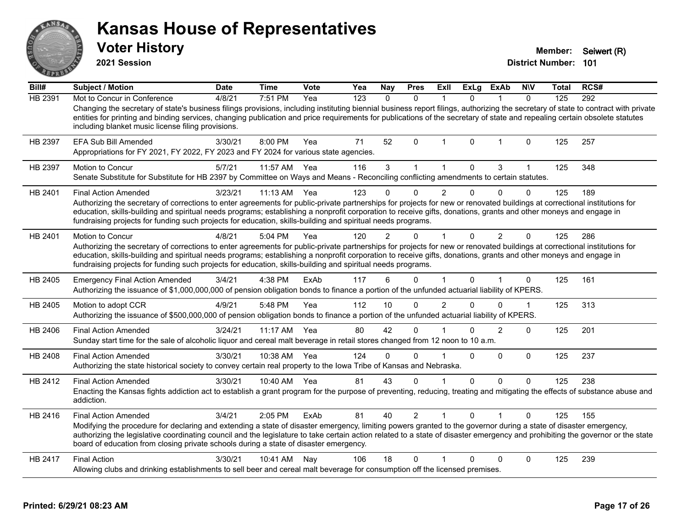|         | <b>Kansas House of Representatives</b><br><b>Voter History</b><br>2021 Session                                                                                                                                                                                                                                            |         |            |      |     |
|---------|---------------------------------------------------------------------------------------------------------------------------------------------------------------------------------------------------------------------------------------------------------------------------------------------------------------------------|---------|------------|------|-----|
| Bill#   | <b>Subject / Motion</b>                                                                                                                                                                                                                                                                                                   | Date    | Time       | Vote | Yea |
| HB 2391 | Mot to Concur in Conference<br>Changing the secretary of state's business filings provisions, including instituting biennia<br>entities for printing and binding services, changing publication and price requirements for<br>including blanket music license filing provisions.                                          | 4/8/21  | 7:51 PM    | Yea  | 123 |
| HB 2397 | EFA Sub Bill Amended<br>Appropriations for FY 2021, FY 2022, FY 2023 and FY 2024 for various state agencies.                                                                                                                                                                                                              | 3/30/21 | $8:00$ PM  | Yea  | 71  |
| HB 2397 | <b>Motion to Concur</b><br>Senate Substitute for Substitute for HB 2397 by Committee on Ways and Means - Recor                                                                                                                                                                                                            | 5/7/21  | 11:57 AM   | Yea  | 116 |
| HB 2401 | <b>Final Action Amended</b><br>Authorizing the secretary of corrections to enter agreements for public-private partnershi<br>education, skills-building and spiritual needs programs; establishing a nonprofit corporati<br>fundroising projects for funding quab projects for education, skills building and opiritual p | 3/23/21 | $11:13$ AM | Yea  | 123 |

#### **Printed: 6/29/21 08:23 AM Page 17 of 26**

**Member:** Seiwert (R)

| Bill#   | <b>Subject / Motion</b>                                                                                                                                                                                                                                                                                                                                                                                                                                                                     | <b>Date</b> | <b>Time</b>  | Vote | Yea | <b>Nay</b>     | <b>Pres</b>    | ExII                 | ExLg         | ExAb           | <b>NIV</b>   | Total | RCS# |
|---------|---------------------------------------------------------------------------------------------------------------------------------------------------------------------------------------------------------------------------------------------------------------------------------------------------------------------------------------------------------------------------------------------------------------------------------------------------------------------------------------------|-------------|--------------|------|-----|----------------|----------------|----------------------|--------------|----------------|--------------|-------|------|
| HB 2391 | Mot to Concur in Conference                                                                                                                                                                                                                                                                                                                                                                                                                                                                 | 4/8/21      | 7:51 PM      | Yea  | 123 | $\Omega$       | $\Omega$       |                      | $\Omega$     |                | $\Omega$     | 125   | 292  |
|         | Changing the secretary of state's business filings provisions, including instituting biennial business report filings, authorizing the secretary of state to contract with private<br>entities for printing and binding services, changing publication and price requirements for publications of the secretary of state and repealing certain obsolete statutes<br>including blanket music license filing provisions.                                                                      |             |              |      |     |                |                |                      |              |                |              |       |      |
| HB 2397 | EFA Sub Bill Amended<br>Appropriations for FY 2021, FY 2022, FY 2023 and FY 2024 for various state agencies.                                                                                                                                                                                                                                                                                                                                                                                | 3/30/21     | 8:00 PM      | Yea  | 71  | 52             | $\Omega$       | $\mathbf{1}$         | $\mathbf{0}$ | $\overline{1}$ | 0            | 125   | 257  |
| HB 2397 | Motion to Concur<br>Senate Substitute for Substitute for HB 2397 by Committee on Ways and Means - Reconciling conflicting amendments to certain statutes.                                                                                                                                                                                                                                                                                                                                   | 5/7/21      | 11:57 AM     | Yea  | 116 | 3              | $\mathbf{1}$   | 1                    | $\Omega$     | 3              | $\mathbf{1}$ | 125   | 348  |
| HB 2401 | <b>Final Action Amended</b><br>Authorizing the secretary of corrections to enter agreements for public-private partnerships for projects for new or renovated buildings at correctional institutions for<br>education, skills-building and spiritual needs programs; establishing a nonprofit corporation to receive gifts, donations, grants and other moneys and engage in<br>fundraising projects for funding such projects for education, skills-building and spiritual needs programs. | 3/23/21     | 11:13 AM     | Yea  | 123 | $\Omega$       | 0              | $\overline{2}$       | $\Omega$     | 0              | 0            | 125   | 189  |
| HB 2401 | Motion to Concur<br>Authorizing the secretary of corrections to enter agreements for public-private partnerships for projects for new or renovated buildings at correctional institutions for<br>education, skills-building and spiritual needs programs; establishing a nonprofit corporation to receive gifts, donations, grants and other moneys and engage in<br>fundraising projects for funding such projects for education, skills-building and spiritual needs programs.            | 4/8/21      | 5:04 PM      | Yea  | 120 | $\overline{2}$ | $\Omega$       | $\mathbf{1}$         | $\Omega$     | $\overline{2}$ | $\mathbf{0}$ | 125   | 286  |
| HB 2405 | <b>Emergency Final Action Amended</b><br>Authorizing the issuance of \$1,000,000,000 of pension obligation bonds to finance a portion of the unfunded actuarial liability of KPERS.                                                                                                                                                                                                                                                                                                         | 3/4/21      | 4:38 PM      | ExAb | 117 | 6              | 0              | $\blacktriangleleft$ | $\Omega$     |                | 0            | 125   | 161  |
| HB 2405 | Motion to adopt CCR<br>Authorizing the issuance of \$500,000,000 of pension obligation bonds to finance a portion of the unfunded actuarial liability of KPERS.                                                                                                                                                                                                                                                                                                                             | 4/9/21      | 5:48 PM      | Yea  | 112 | 10             | $\mathbf 0$    | $\overline{2}$       | 0            | $\Omega$       | $\mathbf 1$  | 125   | 313  |
| HB 2406 | <b>Final Action Amended</b><br>Sunday start time for the sale of alcoholic liquor and cereal malt beverage in retail stores changed from 12 noon to 10 a.m.                                                                                                                                                                                                                                                                                                                                 | 3/24/21     | 11:17 AM     | Yea  | 80  | 42             | $\Omega$       |                      | $\Omega$     | $\mathcal{P}$  | $\Omega$     | 125   | 201  |
| HB 2408 | <b>Final Action Amended</b><br>Authorizing the state historical society to convey certain real property to the Iowa Tribe of Kansas and Nebraska.                                                                                                                                                                                                                                                                                                                                           | 3/30/21     | 10:38 AM     | Yea  | 124 | $\Omega$       | $\Omega$       |                      | $\Omega$     | 0              | 0            | 125   | 237  |
| HB 2412 | <b>Final Action Amended</b><br>Enacting the Kansas fights addiction act to establish a grant program for the purpose of preventing, reducing, treating and mitigating the effects of substance abuse and<br>addiction.                                                                                                                                                                                                                                                                      | 3/30/21     | 10:40 AM Yea |      | 81  | 43             | 0              |                      | $\mathbf{0}$ | $\Omega$       | 0            | 125   | 238  |
| HB 2416 | <b>Final Action Amended</b><br>Modifying the procedure for declaring and extending a state of disaster emergency, limiting powers granted to the governor during a state of disaster emergency,<br>authorizing the legislative coordinating council and the legislature to take certain action related to a state of disaster emergency and prohibiting the governor or the state<br>board of education from closing private schools during a state of disaster emergency.                  | 3/4/21      | 2:05 PM      | ExAb | 81  | 40             | $\overline{2}$ | $\mathbf{1}$         | $\Omega$     |                | $\Omega$     | 125   | 155  |
| HB 2417 | <b>Final Action</b><br>Allowing clubs and drinking establishments to sell beer and cereal malt beverage for consumption off the licensed premises.                                                                                                                                                                                                                                                                                                                                          | 3/30/21     | 10:41 AM     | Nav  | 106 | 18             | 0              |                      | 0            | $\Omega$       | 0            | 125   | 239  |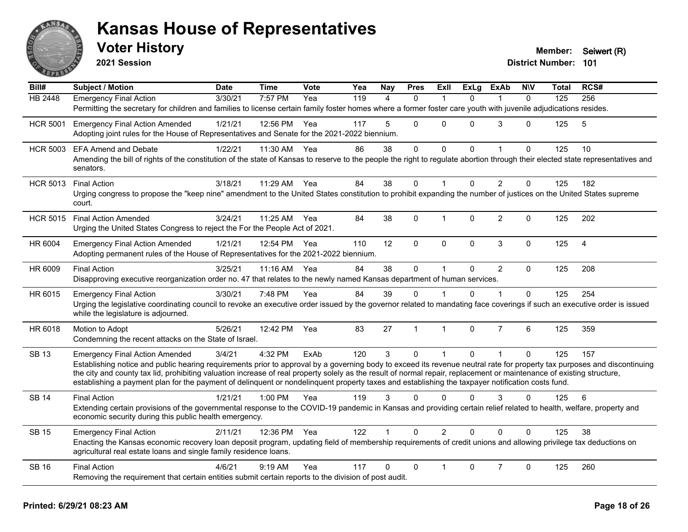

**2021 Session**

| Bill#           | Subject / Motion                                                                                                                                                                                                                     | <b>Date</b> | <b>Time</b>  | <b>Vote</b> | Yea | Nay            | <b>Pres</b>  | Exll           | <b>ExLg</b>  | <b>ExAb</b>    | <b>NIV</b>   | Total | RCS#           |
|-----------------|--------------------------------------------------------------------------------------------------------------------------------------------------------------------------------------------------------------------------------------|-------------|--------------|-------------|-----|----------------|--------------|----------------|--------------|----------------|--------------|-------|----------------|
| <b>HB 2448</b>  | <b>Emergency Final Action</b>                                                                                                                                                                                                        | 3/30/21     | 7:57 PM      | Yea         | 119 | $\overline{4}$ | $\mathbf{0}$ | -1             | $\Omega$     |                | $\mathbf{0}$ | 125   | 256            |
|                 | Permitting the secretary for children and families to license certain family foster homes where a former foster care youth with juvenile adjudications resides.                                                                      |             |              |             |     |                |              |                |              |                |              |       |                |
| <b>HCR 5001</b> | <b>Emergency Final Action Amended</b>                                                                                                                                                                                                | 1/21/21     | 12:56 PM     | Yea         | 117 | 5              | $\Omega$     | $\Omega$       | $\Omega$     | 3              | $\Omega$     | 125   | 5              |
|                 | Adopting joint rules for the House of Representatives and Senate for the 2021-2022 biennium.                                                                                                                                         |             |              |             |     |                |              |                |              |                |              |       |                |
| <b>HCR 5003</b> | <b>EFA Amend and Debate</b>                                                                                                                                                                                                          | 1/22/21     | 11:30 AM     | Yea         | 86  | 38             | $\mathbf 0$  | 0              | $\Omega$     |                | 0            | 125   | 10             |
|                 | Amending the bill of rights of the constitution of the state of Kansas to reserve to the people the right to regulate abortion through their elected state representatives and<br>senators.                                          |             |              |             |     |                |              |                |              |                |              |       |                |
| <b>HCR 5013</b> | <b>Final Action</b>                                                                                                                                                                                                                  | 3/18/21     | 11:29 AM     | Yea         | 84  | 38             | $\mathbf 0$  | 1              | $\Omega$     | $\overline{2}$ | $\pmb{0}$    | 125   | 182            |
|                 | Urging congress to propose the "keep nine" amendment to the United States constitution to prohibit expanding the number of justices on the United States supreme<br>court.                                                           |             |              |             |     |                |              |                |              |                |              |       |                |
| <b>HCR 5015</b> | <b>Final Action Amended</b>                                                                                                                                                                                                          | 3/24/21     | 11:25 AM Yea |             | 84  | 38             | $\Omega$     | 1              | $\Omega$     | $\overline{2}$ | $\Omega$     | 125   | 202            |
|                 | Urging the United States Congress to reject the For the People Act of 2021.                                                                                                                                                          |             |              |             |     |                |              |                |              |                |              |       |                |
| HR 6004         | <b>Emergency Final Action Amended</b>                                                                                                                                                                                                | 1/21/21     | 12:54 PM Yea |             | 110 | 12             | $\mathbf 0$  | 0              | 0            | $\mathfrak{S}$ | $\mathbf 0$  | 125   | $\overline{4}$ |
|                 | Adopting permanent rules of the House of Representatives for the 2021-2022 biennium.                                                                                                                                                 |             |              |             |     |                |              |                |              |                |              |       |                |
| HR 6009         | <b>Final Action</b>                                                                                                                                                                                                                  | 3/25/21     | 11:16 AM     | Yea         | 84  | 38             | $\mathsf{O}$ | $\mathbf{1}$   | $\mathbf{0}$ | $\overline{2}$ | $\mathbf{0}$ | 125   | 208            |
|                 | Disapproving executive reorganization order no. 47 that relates to the newly named Kansas department of human services.                                                                                                              |             |              |             |     |                |              |                |              |                |              |       |                |
| HR 6015         | <b>Emergency Final Action</b>                                                                                                                                                                                                        | 3/30/21     | 7:48 PM      | Yea         | 84  | 39             | 0            |                | 0            |                | $\Omega$     | 125   | 254            |
|                 | Urging the legislative coordinating council to revoke an executive order issued by the governor related to mandating face coverings if such an executive order is issued<br>while the legislature is adjourned.                      |             |              |             |     |                |              |                |              |                |              |       |                |
| HR 6018         | Motion to Adopt                                                                                                                                                                                                                      | 5/26/21     | 12:42 PM     | Yea         | 83  | 27             | $\mathbf{1}$ | $\mathbf{1}$   | $\Omega$     | $\overline{7}$ | 6            | 125   | 359            |
|                 | Condemning the recent attacks on the State of Israel.                                                                                                                                                                                |             |              |             |     |                |              |                |              |                |              |       |                |
| <b>SB 13</b>    | <b>Emergency Final Action Amended</b>                                                                                                                                                                                                | 3/4/21      | 4:32 PM      | ExAb        | 120 | 3              | $\mathbf{0}$ | 1              | $\Omega$     |                | $\Omega$     | 125   | 157            |
|                 | Establishing notice and public hearing requirements prior to approval by a governing body to exceed its revenue neutral rate for property tax purposes and discontinuing                                                             |             |              |             |     |                |              |                |              |                |              |       |                |
|                 | the city and county tax lid, prohibiting valuation increase of real property solely as the result of normal repair, replacement or maintenance of existing structure,                                                                |             |              |             |     |                |              |                |              |                |              |       |                |
|                 | establishing a payment plan for the payment of delinquent or nondelinquent property taxes and establishing the taxpayer notification costs fund.                                                                                     |             |              |             |     |                |              |                |              |                |              |       |                |
| <b>SB 14</b>    | <b>Final Action</b>                                                                                                                                                                                                                  | 1/21/21     | $1:00$ PM    | Yea         | 119 | 3              | $\Omega$     | $\Omega$       | $\Omega$     | 3              | $\Omega$     | 125   | 6              |
|                 | Extending certain provisions of the governmental response to the COVID-19 pandemic in Kansas and providing certain relief related to health, welfare, property and<br>economic security during this public health emergency.         |             |              |             |     |                |              |                |              |                |              |       |                |
| <b>SB 15</b>    | <b>Emergency Final Action</b>                                                                                                                                                                                                        | 2/11/21     | 12:36 PM     | Yea         | 122 |                | $\Omega$     | $\overline{2}$ | $\Omega$     | $\Omega$       | $\Omega$     | 125   | 38             |
|                 | Enacting the Kansas economic recovery loan deposit program, updating field of membership requirements of credit unions and allowing privilege tax deductions on<br>agricultural real estate loans and single family residence loans. |             |              |             |     |                |              |                |              |                |              |       |                |
| <b>SB 16</b>    | <b>Final Action</b>                                                                                                                                                                                                                  | 4/6/21      | $9:19$ AM    | Yea         | 117 | 0              | $\Omega$     |                | $\Omega$     | $\overline{7}$ | $\Omega$     | 125   | 260            |
|                 | Removing the requirement that certain entities submit certain reports to the division of post audit.                                                                                                                                 |             |              |             |     |                |              |                |              |                |              |       |                |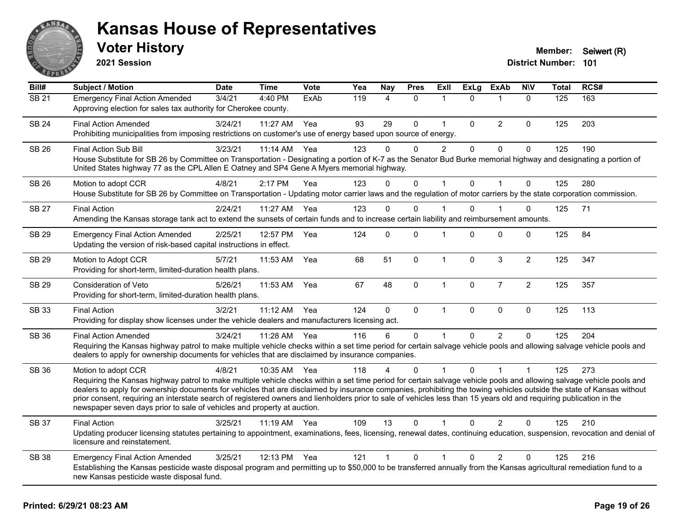

**2021 Session**

| Bill#        | <b>Subject / Motion</b>                                                                                                                                                                                                                                                                                                                                                                                                                                                                                                                                                                                                  | <b>Date</b> | <b>Time</b>  | <b>Vote</b> | Yea | Nay            | <b>Pres</b> | ExII           | <b>ExLg</b>  | <b>ExAb</b>    | <b>NIV</b>     | <b>Total</b> | RCS# |
|--------------|--------------------------------------------------------------------------------------------------------------------------------------------------------------------------------------------------------------------------------------------------------------------------------------------------------------------------------------------------------------------------------------------------------------------------------------------------------------------------------------------------------------------------------------------------------------------------------------------------------------------------|-------------|--------------|-------------|-----|----------------|-------------|----------------|--------------|----------------|----------------|--------------|------|
| <b>SB 21</b> | <b>Emergency Final Action Amended</b><br>Approving election for sales tax authority for Cherokee county.                                                                                                                                                                                                                                                                                                                                                                                                                                                                                                                 | 3/4/21      | 4:40 PM      | ExAb        | 119 | 4              | $\Omega$    | 1              | $\Omega$     | $\mathbf 1$    | $\mathbf{0}$   | 125          | 163  |
| <b>SB 24</b> | <b>Final Action Amended</b><br>Prohibiting municipalities from imposing restrictions on customer's use of energy based upon source of energy.                                                                                                                                                                                                                                                                                                                                                                                                                                                                            | 3/24/21     | 11:27 AM     | Yea         | 93  | 29             | 0           | $\mathbf{1}$   | $\Omega$     | $\overline{2}$ | $\Omega$       | 125          | 203  |
| <b>SB 26</b> | Final Action Sub Bill<br>House Substitute for SB 26 by Committee on Transportation - Designating a portion of K-7 as the Senator Bud Burke memorial highway and designating a portion of<br>United States highway 77 as the CPL Allen E Oatney and SP4 Gene A Myers memorial highway.                                                                                                                                                                                                                                                                                                                                    | 3/23/21     | 11:14 AM     | Yea         | 123 | 0              | 0           | $\overline{2}$ | $\mathbf 0$  | $\mathbf 0$    | $\pmb{0}$      | 125          | 190  |
| <b>SB 26</b> | Motion to adopt CCR<br>House Substitute for SB 26 by Committee on Transportation - Updating motor carrier laws and the regulation of motor carriers by the state corporation commission.                                                                                                                                                                                                                                                                                                                                                                                                                                 | 4/8/21      | 2:17 PM      | Yea         | 123 | $\Omega$       | $\mathbf 0$ | $\mathbf{1}$   | $\Omega$     | $\overline{1}$ | $\mathbf{0}$   | 125          | 280  |
| <b>SB 27</b> | <b>Final Action</b><br>Amending the Kansas storage tank act to extend the sunsets of certain funds and to increase certain liability and reimbursement amounts.                                                                                                                                                                                                                                                                                                                                                                                                                                                          | 2/24/21     | 11:27 AM     | Yea         | 123 | $\Omega$       | 0           |                | $\Omega$     | 1              | 0              | 125          | 71   |
| <b>SB 29</b> | <b>Emergency Final Action Amended</b><br>Updating the version of risk-based capital instructions in effect.                                                                                                                                                                                                                                                                                                                                                                                                                                                                                                              | 2/25/21     | 12:57 PM     | Yea         | 124 | $\Omega$       | $\Omega$    | $\overline{1}$ | $\Omega$     | $\Omega$       | $\Omega$       | 125          | 84   |
| <b>SB 29</b> | Motion to Adopt CCR<br>Providing for short-term, limited-duration health plans.                                                                                                                                                                                                                                                                                                                                                                                                                                                                                                                                          | 5/7/21      | 11:53 AM     | Yea         | 68  | 51             | $\mathbf 0$ | $\mathbf{1}$   | $\mathbf{0}$ | $\mathbf{3}$   | $\overline{2}$ | 125          | 347  |
| SB 29        | Consideration of Veto<br>Providing for short-term, limited-duration health plans.                                                                                                                                                                                                                                                                                                                                                                                                                                                                                                                                        | 5/26/21     | 11:53 AM     | Yea         | 67  | 48             | 0           | $\mathbf{1}$   | $\pmb{0}$    | $\overline{7}$ | $\overline{2}$ | 125          | 357  |
| SB 33        | <b>Final Action</b><br>Providing for display show licenses under the vehicle dealers and manufacturers licensing act.                                                                                                                                                                                                                                                                                                                                                                                                                                                                                                    | 3/2/21      | 11:12 AM     | Yea         | 124 | $\mathbf 0$    | $\mathbf 0$ | $\mathbf{1}$   | $\mathbf 0$  | $\pmb{0}$      | $\pmb{0}$      | 125          | 113  |
| SB 36        | <b>Final Action Amended</b><br>Requiring the Kansas highway patrol to make multiple vehicle checks within a set time period for certain salvage vehicle pools and allowing salvage vehicle pools and<br>dealers to apply for ownership documents for vehicles that are disclaimed by insurance companies.                                                                                                                                                                                                                                                                                                                | 3/24/21     | 11:28 AM     | Yea         | 116 | 6              | 0           |                | $\Omega$     | 2              | $\Omega$       | 125          | 204  |
| SB 36        | Motion to adopt CCR<br>Requiring the Kansas highway patrol to make multiple vehicle checks within a set time period for certain salvage vehicle pools and allowing salvage vehicle pools and<br>dealers to apply for ownership documents for vehicles that are disclaimed by insurance companies, prohibiting the towing vehicles outside the state of Kansas without<br>prior consent, requiring an interstate search of registered owners and lienholders prior to sale of vehicles less than 15 years old and requiring publication in the<br>newspaper seven days prior to sale of vehicles and property at auction. | 4/8/21      | 10:35 AM     | Yea         | 118 | 4              | $\Omega$    | $\overline{1}$ | $\Omega$     | $\overline{1}$ | 1              | 125          | 273  |
| <b>SB 37</b> | <b>Final Action</b><br>Updating producer licensing statutes pertaining to appointment, examinations, fees, licensing, renewal dates, continuing education, suspension, revocation and denial of<br>licensure and reinstatement.                                                                                                                                                                                                                                                                                                                                                                                          | 3/25/21     | 11:19 AM Yea |             | 109 | 13             | $\Omega$    | 1              | $\Omega$     | $\overline{2}$ | $\Omega$       | 125          | 210  |
| <b>SB 38</b> | <b>Emergency Final Action Amended</b><br>Establishing the Kansas pesticide waste disposal program and permitting up to \$50,000 to be transferred annually from the Kansas agricultural remediation fund to a<br>new Kansas pesticide waste disposal fund.                                                                                                                                                                                                                                                                                                                                                               | 3/25/21     | 12:13 PM     | Yea         | 121 | $\overline{1}$ | 0           | 1              | 0            | 2              | $\mathbf 0$    | 125          | 216  |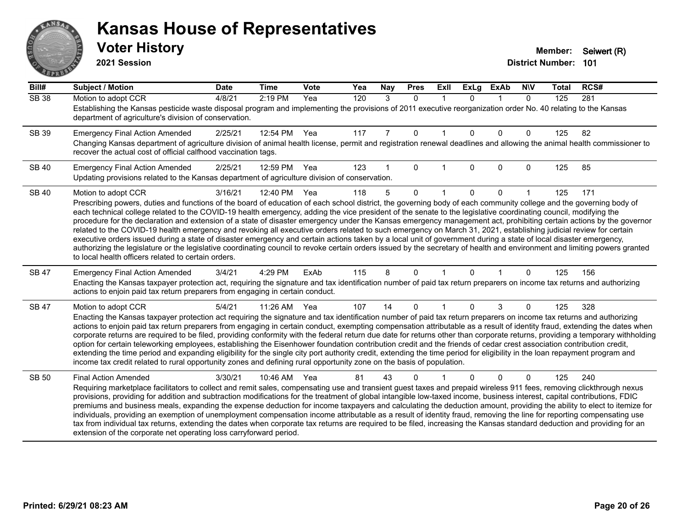# ANS **PARTIE**

#### **Kansas House of Representatives**

**2021 Session**

| Bill#        | <b>Subject / Motion</b>                                                                                                                                                                                                                                                                                                                                    | <b>Date</b> | <b>Time</b> | Vote | Yea | Nay | <b>Pres</b> | ExII        | <b>ExLg</b> | <b>ExAb</b> | <b>NIV</b>   | <b>Total</b> | RCS# |
|--------------|------------------------------------------------------------------------------------------------------------------------------------------------------------------------------------------------------------------------------------------------------------------------------------------------------------------------------------------------------------|-------------|-------------|------|-----|-----|-------------|-------------|-------------|-------------|--------------|--------------|------|
| <b>SB 38</b> | Motion to adopt CCR                                                                                                                                                                                                                                                                                                                                        | 4/8/21      | 2:19 PM     | Yea  | 120 | 3   | $\Omega$    | $\mathbf 1$ | $\Omega$    | $\mathbf 1$ | $\mathbf{0}$ | 125          | 281  |
|              | Establishing the Kansas pesticide waste disposal program and implementing the provisions of 2011 executive reorganization order No. 40 relating to the Kansas<br>department of agriculture's division of conservation.                                                                                                                                     |             |             |      |     |     |             |             |             |             |              |              |      |
| SB 39        | <b>Emergency Final Action Amended</b>                                                                                                                                                                                                                                                                                                                      | 2/25/21     | 12:54 PM    | Yea  | 117 | 7   | 0           |             | $\Omega$    | $\Omega$    | 0            | 125          | 82   |
|              | Changing Kansas department of agriculture division of animal health license, permit and registration renewal deadlines and allowing the animal health commissioner to<br>recover the actual cost of official calfhood vaccination tags.                                                                                                                    |             |             |      |     |     |             |             |             |             |              |              |      |
| <b>SB 40</b> | <b>Emergency Final Action Amended</b>                                                                                                                                                                                                                                                                                                                      | 2/25/21     | 12:59 PM    | Yea  | 123 |     | $\Omega$    |             | $\Omega$    | $\Omega$    | 0            | 125          | 85   |
|              | Updating provisions related to the Kansas department of agriculture division of conservation.                                                                                                                                                                                                                                                              |             |             |      |     |     |             |             |             |             |              |              |      |
| <b>SB 40</b> | Motion to adopt CCR                                                                                                                                                                                                                                                                                                                                        | 3/16/21     | 12:40 PM    | Yea  | 118 | 5   | $\Omega$    |             | $\Omega$    | $\Omega$    |              | 125          | 171  |
|              | Prescribing powers, duties and functions of the board of education of each school district, the governing body of each community college and the governing body of<br>each technical college related to the COVID-19 health emergency, adding the vice president of the senate to the legislative coordinating council, modifying the                      |             |             |      |     |     |             |             |             |             |              |              |      |
|              | procedure for the declaration and extension of a state of disaster emergency under the Kansas emergency management act, prohibiting certain actions by the governor                                                                                                                                                                                        |             |             |      |     |     |             |             |             |             |              |              |      |
|              | related to the COVID-19 health emergency and revoking all executive orders related to such emergency on March 31, 2021, establishing judicial review for certain                                                                                                                                                                                           |             |             |      |     |     |             |             |             |             |              |              |      |
|              | executive orders issued during a state of disaster emergency and certain actions taken by a local unit of government during a state of local disaster emergency,<br>authorizing the legislature or the legislative coordinating council to revoke certain orders issued by the secretary of health and environment and limiting powers granted             |             |             |      |     |     |             |             |             |             |              |              |      |
|              | to local health officers related to certain orders.                                                                                                                                                                                                                                                                                                        |             |             |      |     |     |             |             |             |             |              |              |      |
| <b>SB 47</b> | <b>Emergency Final Action Amended</b>                                                                                                                                                                                                                                                                                                                      | 3/4/21      | 4:29 PM     | ExAb | 115 | 8   | $\Omega$    |             | $\Omega$    |             | 0            | 125          | 156  |
|              | Enacting the Kansas taxpayer protection act, requiring the signature and tax identification number of paid tax return preparers on income tax returns and authorizing<br>actions to enjoin paid tax return preparers from engaging in certain conduct.                                                                                                     |             |             |      |     |     |             |             |             |             |              |              |      |
| SB 47        | Motion to adopt CCR                                                                                                                                                                                                                                                                                                                                        | 5/4/21      | 11:26 AM    | Yea  | 107 | 14  | $\Omega$    |             | $\Omega$    | 3           | 0            | 125          | 328  |
|              | Enacting the Kansas taxpayer protection act requiring the signature and tax identification number of paid tax return preparers on income tax returns and authorizing                                                                                                                                                                                       |             |             |      |     |     |             |             |             |             |              |              |      |
|              | actions to enjoin paid tax return preparers from engaging in certain conduct, exempting compensation attributable as a result of identity fraud, extending the dates when<br>corporate returns are required to be filed, providing conformity with the federal return due date for returns other than corporate returns, providing a temporary withholding |             |             |      |     |     |             |             |             |             |              |              |      |
|              | option for certain teleworking employees, establishing the Eisenhower foundation contribution credit and the friends of cedar crest association contribution credit,                                                                                                                                                                                       |             |             |      |     |     |             |             |             |             |              |              |      |
|              | extending the time period and expanding eligibility for the single city port authority credit, extending the time period for eligibility in the loan repayment program and<br>income tax credit related to rural opportunity zones and defining rural opportunity zone on the basis of population.                                                         |             |             |      |     |     |             |             |             |             |              |              |      |
|              |                                                                                                                                                                                                                                                                                                                                                            |             |             |      |     |     |             |             |             |             |              |              |      |
| <b>SB 50</b> | <b>Final Action Amended</b><br>Requiring marketplace facilitators to collect and remit sales, compensating use and transient guest taxes and prepaid wireless 911 fees, removing clickthrough nexus                                                                                                                                                        | 3/30/21     | 10:46 AM    | Yea  | 81  | 43  | 0           |             |             | $\Omega$    | 0            | 125          | 240  |
|              | provisions, providing for addition and subtraction modifications for the treatment of global intangible low-taxed income, business interest, capital contributions, FDIC                                                                                                                                                                                   |             |             |      |     |     |             |             |             |             |              |              |      |
|              | premiums and business meals, expanding the expense deduction for income taxpayers and calculating the deduction amount, providing the ability to elect to itemize for                                                                                                                                                                                      |             |             |      |     |     |             |             |             |             |              |              |      |
|              | individuals, providing an exemption of unemployment compensation income attributable as a result of identity fraud, removing the line for reporting compensating use<br>tax from individual tax returns, extending the dates when corporate tax returns are required to be filed, increasing the Kansas standard deduction and providing for an            |             |             |      |     |     |             |             |             |             |              |              |      |
|              | extension of the corporate net operating loss carryforward period.                                                                                                                                                                                                                                                                                         |             |             |      |     |     |             |             |             |             |              |              |      |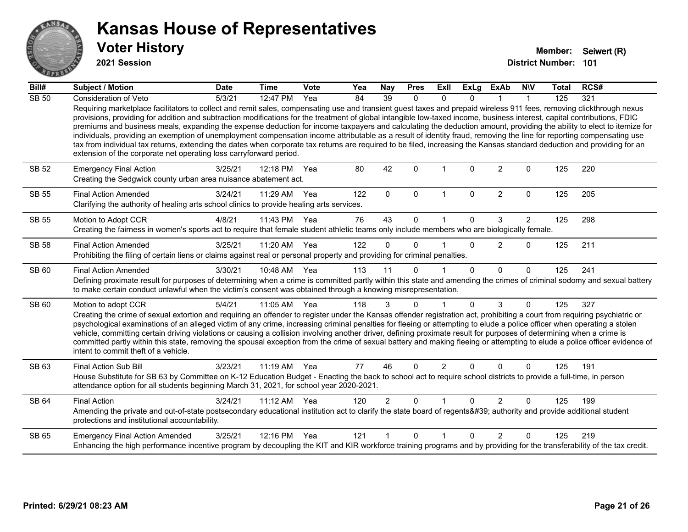

**2021 Session**

| Bill#        | Subject / Motion                                                                                                                                                                                                                                                                                                                                                                                                                                                                                                                                                                                                                                                                                                                                                                                                                                                                                                                                   | <b>Date</b> | <b>Time</b>  | Vote | Yea | <b>Nay</b>     | <b>Pres</b>  | ExII           | <b>ExLg</b>  | <b>ExAb</b>    | <b>NIV</b>     | <b>Total</b> | RCS# |
|--------------|----------------------------------------------------------------------------------------------------------------------------------------------------------------------------------------------------------------------------------------------------------------------------------------------------------------------------------------------------------------------------------------------------------------------------------------------------------------------------------------------------------------------------------------------------------------------------------------------------------------------------------------------------------------------------------------------------------------------------------------------------------------------------------------------------------------------------------------------------------------------------------------------------------------------------------------------------|-------------|--------------|------|-----|----------------|--------------|----------------|--------------|----------------|----------------|--------------|------|
| <b>SB 50</b> | Consideration of Veto                                                                                                                                                                                                                                                                                                                                                                                                                                                                                                                                                                                                                                                                                                                                                                                                                                                                                                                              | 5/3/21      | 12:47 PM     | Yea  | 84  | 39             | $\mathbf{0}$ | $\mathbf{0}$   | $\Omega$     |                |                | 125          | 321  |
|              | Requiring marketplace facilitators to collect and remit sales, compensating use and transient guest taxes and prepaid wireless 911 fees, removing clickthrough nexus<br>provisions, providing for addition and subtraction modifications for the treatment of global intangible low-taxed income, business interest, capital contributions, FDIC<br>premiums and business meals, expanding the expense deduction for income taxpayers and calculating the deduction amount, providing the ability to elect to itemize for<br>individuals, providing an exemption of unemployment compensation income attributable as a result of identity fraud, removing the line for reporting compensating use<br>tax from individual tax returns, extending the dates when corporate tax returns are required to be filed, increasing the Kansas standard deduction and providing for an<br>extension of the corporate net operating loss carryforward period. |             |              |      |     |                |              |                |              |                |                |              |      |
| <b>SB 52</b> | <b>Emergency Final Action</b><br>Creating the Sedgwick county urban area nuisance abatement act.                                                                                                                                                                                                                                                                                                                                                                                                                                                                                                                                                                                                                                                                                                                                                                                                                                                   | 3/25/21     | 12:18 PM     | Yea  | 80  | 42             | $\Omega$     | 1              | $\Omega$     | $\overline{2}$ | $\mathbf{0}$   | 125          | 220  |
| <b>SB 55</b> | <b>Final Action Amended</b><br>Clarifying the authority of healing arts school clinics to provide healing arts services.                                                                                                                                                                                                                                                                                                                                                                                                                                                                                                                                                                                                                                                                                                                                                                                                                           | 3/24/21     | 11:29 AM     | Yea  | 122 | $\mathbf{0}$   | $\mathbf 0$  | $\mathbf 1$    | $\mathbf{0}$ | $\overline{2}$ | $\mathbf 0$    | 125          | 205  |
| <b>SB 55</b> | Motion to Adopt CCR                                                                                                                                                                                                                                                                                                                                                                                                                                                                                                                                                                                                                                                                                                                                                                                                                                                                                                                                | 4/8/21      | 11:43 PM     | Yea  | 76  | 43             | $\Omega$     | 1              | $\mathbf{0}$ | 3              | $\overline{2}$ | 125          | 298  |
|              | Creating the fairness in women's sports act to require that female student athletic teams only include members who are biologically female.                                                                                                                                                                                                                                                                                                                                                                                                                                                                                                                                                                                                                                                                                                                                                                                                        |             |              |      |     |                |              |                |              |                |                |              |      |
| <b>SB 58</b> | <b>Final Action Amended</b>                                                                                                                                                                                                                                                                                                                                                                                                                                                                                                                                                                                                                                                                                                                                                                                                                                                                                                                        | 3/25/21     | 11:20 AM     | Yea  | 122 | $\Omega$       | $\Omega$     |                | $\Omega$     | $\overline{2}$ | $\Omega$       | 125          | 211  |
|              | Prohibiting the filing of certain liens or claims against real or personal property and providing for criminal penalties.                                                                                                                                                                                                                                                                                                                                                                                                                                                                                                                                                                                                                                                                                                                                                                                                                          |             |              |      |     |                |              |                |              |                |                |              |      |
| SB 60        | <b>Final Action Amended</b>                                                                                                                                                                                                                                                                                                                                                                                                                                                                                                                                                                                                                                                                                                                                                                                                                                                                                                                        | 3/30/21     | 10:48 AM     | Yea  | 113 | 11             | $\Omega$     |                | $\Omega$     | $\Omega$       | $\Omega$       | 125          | 241  |
|              | Defining proximate result for purposes of determining when a crime is committed partly within this state and amending the crimes of criminal sodomy and sexual battery<br>to make certain conduct unlawful when the victim's consent was obtained through a knowing misrepresentation.                                                                                                                                                                                                                                                                                                                                                                                                                                                                                                                                                                                                                                                             |             |              |      |     |                |              |                |              |                |                |              |      |
| SB 60        | Motion to adopt CCR                                                                                                                                                                                                                                                                                                                                                                                                                                                                                                                                                                                                                                                                                                                                                                                                                                                                                                                                | 5/4/21      | 11:05 AM Yea |      | 118 | 3              | $\Omega$     | 1              | $\Omega$     | 3              | $\mathbf{0}$   | 125          | 327  |
|              | Creating the crime of sexual extortion and requiring an offender to register under the Kansas offender registration act, prohibiting a court from requiring psychiatric or<br>psychological examinations of an alleged victim of any crime, increasing criminal penalties for fleeing or attempting to elude a police officer when operating a stolen<br>vehicle, committing certain driving violations or causing a collision involving another driver, defining proximate result for purposes of determining when a crime is<br>committed partly within this state, removing the spousal exception from the crime of sexual battery and making fleeing or attempting to elude a police officer evidence of<br>intent to commit theft of a vehicle.                                                                                                                                                                                               |             |              |      |     |                |              |                |              |                |                |              |      |
| SB 63        | <b>Final Action Sub Bill</b>                                                                                                                                                                                                                                                                                                                                                                                                                                                                                                                                                                                                                                                                                                                                                                                                                                                                                                                       | 3/23/21     | 11:19 AM     | Yea  | 77  | 46             | $\Omega$     | $\overline{2}$ | $\Omega$     | $\Omega$       | $\Omega$       | 125          | 191  |
|              | House Substitute for SB 63 by Committee on K-12 Education Budget - Enacting the back to school act to require school districts to provide a full-time, in person<br>attendance option for all students beginning March 31, 2021, for school year 2020-2021.                                                                                                                                                                                                                                                                                                                                                                                                                                                                                                                                                                                                                                                                                        |             |              |      |     |                |              |                |              |                |                |              |      |
| <b>SB 64</b> | <b>Final Action</b>                                                                                                                                                                                                                                                                                                                                                                                                                                                                                                                                                                                                                                                                                                                                                                                                                                                                                                                                | 3/24/21     | 11:12 AM     | Yea  | 120 | $\overline{2}$ | $\mathbf{0}$ | $\overline{1}$ | $\Omega$     | $\overline{2}$ | $\mathbf{0}$   | 125          | 199  |
|              | Amending the private and out-of-state postsecondary educational institution act to clarify the state board of regents' authority and provide additional student<br>protections and institutional accountability.                                                                                                                                                                                                                                                                                                                                                                                                                                                                                                                                                                                                                                                                                                                                   |             |              |      |     |                |              |                |              |                |                |              |      |
| SB 65        | <b>Emergency Final Action Amended</b>                                                                                                                                                                                                                                                                                                                                                                                                                                                                                                                                                                                                                                                                                                                                                                                                                                                                                                              | 3/25/21     | 12:16 PM     | Yea  | 121 |                | $\Omega$     | 1              | $\Omega$     | $\mathcal{P}$  | $\Omega$       | 125          | 219  |
|              | Enhancing the high performance incentive program by decoupling the KIT and KIR workforce training programs and by providing for the transferability of the tax credit.                                                                                                                                                                                                                                                                                                                                                                                                                                                                                                                                                                                                                                                                                                                                                                             |             |              |      |     |                |              |                |              |                |                |              |      |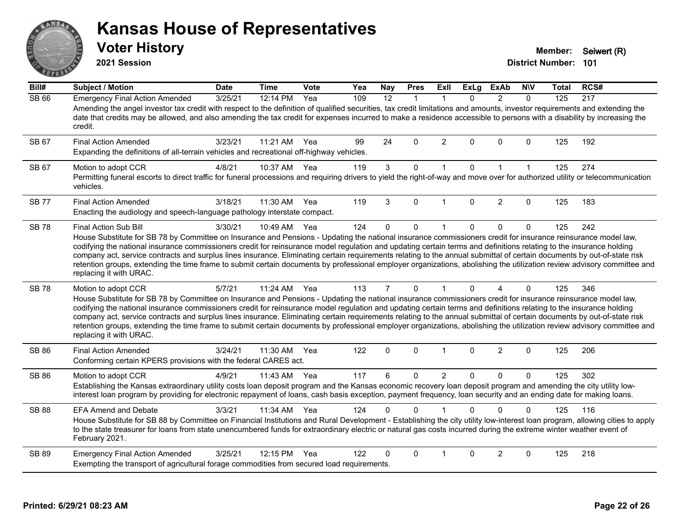#### ANS Erry  $E$   $\mathbf{F}$

#### **Kansas House of Representatives**

**2021 Session**

**Voter History Member:** Seiwert (R)

| Bill#        | <b>Subject / Motion</b>                                                                                                                                                                                                                                                                                                                                                                                                                                                                                                                                                                                                                                                                                                                        | <b>Date</b> | <b>Time</b> | Vote | Yea | Nay            | <b>Pres</b>  | ExII           | <b>ExLg</b> | <b>ExAb</b>    | <b>NIV</b>   | Total | RCS# |
|--------------|------------------------------------------------------------------------------------------------------------------------------------------------------------------------------------------------------------------------------------------------------------------------------------------------------------------------------------------------------------------------------------------------------------------------------------------------------------------------------------------------------------------------------------------------------------------------------------------------------------------------------------------------------------------------------------------------------------------------------------------------|-------------|-------------|------|-----|----------------|--------------|----------------|-------------|----------------|--------------|-------|------|
| <b>SB 66</b> | <b>Emergency Final Action Amended</b><br>Amending the angel investor tax credit with respect to the definition of qualified securities, tax credit limitations and amounts, investor requirements and extending the<br>date that credits may be allowed, and also amending the tax credit for expenses incurred to make a residence accessible to persons with a disability by increasing the<br>credit.                                                                                                                                                                                                                                                                                                                                       | 3/25/21     | 12:14 PM    | Yea  | 109 | 12             | $\mathbf{1}$ | $\mathbf{1}$   | $\Omega$    | $\overline{2}$ | $\Omega$     | 125   | 217  |
| SB 67        | <b>Final Action Amended</b><br>Expanding the definitions of all-terrain vehicles and recreational off-highway vehicles.                                                                                                                                                                                                                                                                                                                                                                                                                                                                                                                                                                                                                        | 3/23/21     | 11:21 AM    | Yea  | 99  | 24             | $\Omega$     | 2              | $\Omega$    | $\mathbf{0}$   | $\Omega$     | 125   | 192  |
| SB 67        | Motion to adopt CCR<br>Permitting funeral escorts to direct traffic for funeral processions and requiring drivers to yield the right-of-way and move over for authorized utility or telecommunication<br>vehicles.                                                                                                                                                                                                                                                                                                                                                                                                                                                                                                                             | 4/8/21      | 10:37 AM    | Yea  | 119 | $\mathbf{3}$   | $\mathbf 0$  | $\mathbf{1}$   | $\mathbf 0$ | $\mathbf{1}$   | $\mathbf{1}$ | 125   | 274  |
| <b>SB77</b>  | <b>Final Action Amended</b><br>Enacting the audiology and speech-language pathology interstate compact.                                                                                                                                                                                                                                                                                                                                                                                                                                                                                                                                                                                                                                        | 3/18/21     | 11:30 AM    | Yea  | 119 | 3              | $\Omega$     | $\mathbf{1}$   | $\Omega$    | 2              | $\Omega$     | 125   | 183  |
| <b>SB 78</b> | Final Action Sub Bill<br>House Substitute for SB 78 by Committee on Insurance and Pensions - Updating the national insurance commissioners credit for insurance reinsurance model law,<br>codifying the national insurance commissioners credit for reinsurance model regulation and updating certain terms and definitions relating to the insurance holding<br>company act, service contracts and surplus lines insurance. Eliminating certain requirements relating to the annual submittal of certain documents by out-of-state risk<br>retention groups, extending the time frame to submit certain documents by professional employer organizations, abolishing the utilization review advisory committee and<br>replacing it with URAC. | 3/30/21     | 10:49 AM    | Yea  | 124 | $\mathbf 0$    | $\mathbf 0$  | $\mathbf{1}$   | $\Omega$    | $\mathbf 0$    | $\pmb{0}$    | 125   | 242  |
| <b>SB78</b>  | Motion to adopt CCR<br>House Substitute for SB 78 by Committee on Insurance and Pensions - Updating the national insurance commissioners credit for insurance reinsurance model law,<br>codifying the national insurance commissioners credit for reinsurance model regulation and updating certain terms and definitions relating to the insurance holding<br>company act, service contracts and surplus lines insurance. Eliminating certain requirements relating to the annual submittal of certain documents by out-of-state risk<br>retention groups, extending the time frame to submit certain documents by professional employer organizations, abolishing the utilization review advisory committee and<br>replacing it with URAC.   | 5/7/21      | 11:24 AM    | Yea  | 113 | $\overline{7}$ | $\mathbf{0}$ | 1              | $\Omega$    | 4              | $\Omega$     | 125   | 346  |
| <b>SB 86</b> | <b>Final Action Amended</b><br>Conforming certain KPERS provisions with the federal CARES act.                                                                                                                                                                                                                                                                                                                                                                                                                                                                                                                                                                                                                                                 | 3/24/21     | 11:30 AM    | Yea  | 122 | $\mathbf 0$    | $\Omega$     | $\mathbf{1}$   | $\Omega$    | $\overline{2}$ | 0            | 125   | 206  |
| SB 86        | Motion to adopt CCR<br>Establishing the Kansas extraordinary utility costs loan deposit program and the Kansas economic recovery loan deposit program and amending the city utility low-<br>interest loan program by providing for electronic repayment of loans, cash basis exception, payment frequency, loan security and an ending date for making loans.                                                                                                                                                                                                                                                                                                                                                                                  | 4/9/21      | 11:43 AM    | Yea  | 117 | 6              | 0            | $\overline{2}$ | $\Omega$    | $\pmb{0}$      | $\mathbf{0}$ | 125   | 302  |
| <b>SB 88</b> | <b>EFA Amend and Debate</b><br>House Substitute for SB 88 by Committee on Financial Institutions and Rural Development - Establishing the city utility low-interest loan program, allowing cities to apply<br>to the state treasurer for loans from state unencumbered funds for extraordinary electric or natural gas costs incurred during the extreme winter weather event of<br>February 2021.                                                                                                                                                                                                                                                                                                                                             | 3/3/21      | 11:34 AM    | Yea  | 124 | $\Omega$       | $\Omega$     |                | 0           | $\Omega$       | $\Omega$     | 125   | 116  |
| SB 89        | <b>Emergency Final Action Amended</b><br>Exempting the transport of agricultural forage commodities from secured load requirements.                                                                                                                                                                                                                                                                                                                                                                                                                                                                                                                                                                                                            | 3/25/21     | 12:15 PM    | Yea  | 122 | $\Omega$       | $\Omega$     | 1              | $\Omega$    | $\overline{2}$ | $\Omega$     | 125   | 218  |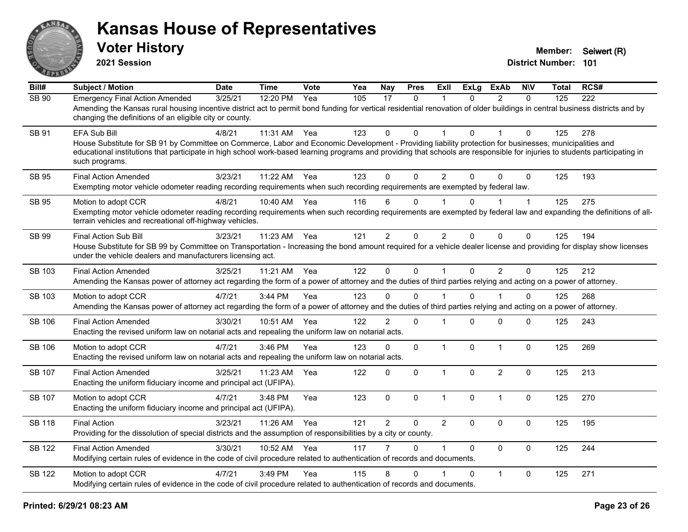

**2021 Session**

| Bill#         | <b>Subject / Motion</b>                                                                                                                                                                                                                                                                                                                                                 | <b>Date</b> | <b>Time</b> | Vote | Yea | <b>Nay</b>     | <b>Pres</b> | ExII           | <b>ExLg</b>  | <b>ExAb</b>    | <b>NIV</b>  | <b>Total</b> | RCS# |
|---------------|-------------------------------------------------------------------------------------------------------------------------------------------------------------------------------------------------------------------------------------------------------------------------------------------------------------------------------------------------------------------------|-------------|-------------|------|-----|----------------|-------------|----------------|--------------|----------------|-------------|--------------|------|
| SB 90         | <b>Emergency Final Action Amended</b><br>Amending the Kansas rural housing incentive district act to permit bond funding for vertical residential renovation of older buildings in central business districts and by<br>changing the definitions of an eligible city or county.                                                                                         | 3/25/21     | 12:20 PM    | Yea  | 105 | 17             | $\Omega$    |                | $\Omega$     | $\mathcal{P}$  | $\Omega$    | 125          | 222  |
| SB 91         | EFA Sub Bill<br>House Substitute for SB 91 by Committee on Commerce, Labor and Economic Development - Providing liability protection for businesses, municipalities and<br>educational institutions that participate in high school work-based learning programs and providing that schools are responsible for injuries to students participating in<br>such programs. | 4/8/21      | 11:31 AM    | Yea  | 123 | $\Omega$       | 0           |                | $\Omega$     |                | 0           | 125          | 278  |
| <b>SB 95</b>  | <b>Final Action Amended</b><br>Exempting motor vehicle odometer reading recording requirements when such recording requirements are exempted by federal law.                                                                                                                                                                                                            | 3/23/21     | 11:22 AM    | Yea  | 123 | $\Omega$       | $\Omega$    | 2              | $\Omega$     | $\Omega$       | $\Omega$    | 125          | 193  |
| SB 95         | Motion to adopt CCR<br>Exempting motor vehicle odometer reading recording requirements when such recording requirements are exempted by federal law and expanding the definitions of all-<br>terrain vehicles and recreational off-highway vehicles.                                                                                                                    | 4/8/21      | 10:40 AM    | Yea  | 116 | 6              | 0           |                | 0            |                | $\mathbf 1$ | 125          | 275  |
| SB 99         | <b>Final Action Sub Bill</b><br>House Substitute for SB 99 by Committee on Transportation - Increasing the bond amount required for a vehicle dealer license and providing for display show licenses<br>under the vehicle dealers and manufacturers licensing act.                                                                                                      | 3/23/21     | 11:23 AM    | Yea  | 121 | $\overline{2}$ | 0           | $\overline{2}$ | $\Omega$     | $\mathbf 0$    | 0           | 125          | 194  |
| SB 103        | <b>Final Action Amended</b><br>Amending the Kansas power of attorney act regarding the form of a power of attorney and the duties of third parties relying and acting on a power of attorney.                                                                                                                                                                           | 3/25/21     | 11:21 AM    | Yea  | 122 | $\mathbf 0$    | $\mathbf 0$ | $\mathbf{1}$   | $\mathbf{0}$ | $\overline{2}$ | $\mathbf 0$ | 125          | 212  |
| SB 103        | Motion to adopt CCR<br>Amending the Kansas power of attorney act regarding the form of a power of attorney and the duties of third parties relying and acting on a power of attorney.                                                                                                                                                                                   | 4/7/21      | $3:44$ PM   | Yea  | 123 | 0              | $\Omega$    |                | 0            |                | $\Omega$    | 125          | 268  |
| <b>SB 106</b> | <b>Final Action Amended</b><br>Enacting the revised uniform law on notarial acts and repealing the uniform law on notarial acts.                                                                                                                                                                                                                                        | 3/30/21     | 10:51 AM    | Yea  | 122 | $\overline{2}$ | $\mathbf 0$ | $\mathbf 1$    | $\Omega$     | $\mathbf{0}$   | 0           | 125          | 243  |
| <b>SB 106</b> | Motion to adopt CCR<br>Enacting the revised uniform law on notarial acts and repealing the uniform law on notarial acts.                                                                                                                                                                                                                                                | 4/7/21      | 3:46 PM     | Yea  | 123 | 0              | 0           | $\mathbf{1}$   | $\mathbf{0}$ | $\overline{1}$ | $\mathbf 0$ | 125          | 269  |
| SB 107        | <b>Final Action Amended</b><br>Enacting the uniform fiduciary income and principal act (UFIPA).                                                                                                                                                                                                                                                                         | 3/25/21     | 11:23 AM    | Yea  | 122 | $\mathbf 0$    | 0           | $\mathbf{1}$   | $\Omega$     | 2              | $\mathbf 0$ | 125          | 213  |
| <b>SB 107</b> | Motion to adopt CCR<br>Enacting the uniform fiduciary income and principal act (UFIPA).                                                                                                                                                                                                                                                                                 | 4/7/21      | $3:48$ PM   | Yea  | 123 | $\mathbf 0$    | $\mathbf 0$ | $\mathbf{1}$   | $\Omega$     | $\mathbf{1}$   | $\pmb{0}$   | 125          | 270  |
| <b>SB 118</b> | <b>Final Action</b><br>Providing for the dissolution of special districts and the assumption of responsibilities by a city or county.                                                                                                                                                                                                                                   | 3/23/21     | 11:26 AM    | Yea  | 121 | $\overline{2}$ | $\Omega$    | $\overline{2}$ | $\Omega$     | $\mathbf{0}$   | $\Omega$    | 125          | 195  |
| <b>SB 122</b> | <b>Final Action Amended</b><br>Modifying certain rules of evidence in the code of civil procedure related to authentication of records and documents.                                                                                                                                                                                                                   | 3/30/21     | 10:52 AM    | Yea  | 117 |                | $\Omega$    | 1              | $\Omega$     | $\mathbf{0}$   | $\mathbf 0$ | 125          | 244  |
| <b>SB 122</b> | Motion to adopt CCR<br>Modifying certain rules of evidence in the code of civil procedure related to authentication of records and documents.                                                                                                                                                                                                                           | 4/7/21      | 3:49 PM     | Yea  | 115 | 8              | $\Omega$    |                | $\Omega$     | $\mathbf{1}$   | $\Omega$    | 125          | 271  |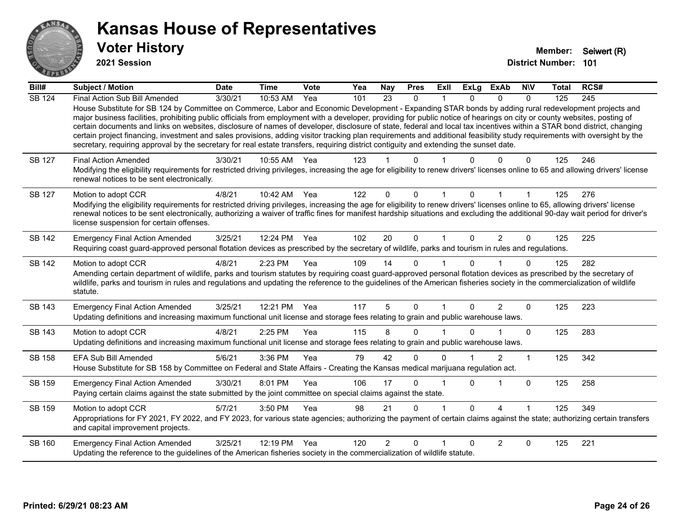

**2021 Session**

| Bill#         | <b>Subject / Motion</b>                                                                                                                                                                                                                                                                                                                                                                                                                                                                                                                                                                                                                                                                                                                                                                                                                                              | <b>Date</b> | <b>Time</b> | Vote | Yea | <b>Nay</b>     | <b>Pres</b>  | <b>ExII</b>  | <b>ExLg</b>  | <b>ExAb</b> | <b>NIV</b> | <b>Total</b> | RCS# |
|---------------|----------------------------------------------------------------------------------------------------------------------------------------------------------------------------------------------------------------------------------------------------------------------------------------------------------------------------------------------------------------------------------------------------------------------------------------------------------------------------------------------------------------------------------------------------------------------------------------------------------------------------------------------------------------------------------------------------------------------------------------------------------------------------------------------------------------------------------------------------------------------|-------------|-------------|------|-----|----------------|--------------|--------------|--------------|-------------|------------|--------------|------|
| <b>SB 124</b> | Final Action Sub Bill Amended<br>House Substitute for SB 124 by Committee on Commerce, Labor and Economic Development - Expanding STAR bonds by adding rural redevelopment projects and<br>major business facilities, prohibiting public officials from employment with a developer, providing for public notice of hearings on city or county websites, posting of<br>certain documents and links on websites, disclosure of names of developer, disclosure of state, federal and local tax incentives within a STAR bond district, changing<br>certain project financing, investment and sales provisions, adding visitor tracking plan requirements and additional feasibility study requirements with oversight by the<br>secretary, requiring approval by the secretary for real estate transfers, requiring district contiguity and extending the sunset date. | 3/30/21     | 10:53 AM    | Yea  | 101 | 23             | $\mathbf{0}$ | 1            | 0            | $\Omega$    | $\Omega$   | 125          | 245  |
| SB 127        | <b>Final Action Amended</b><br>Modifying the eligibility requirements for restricted driving privileges, increasing the age for eligibility to renew drivers' licenses online to 65 and allowing drivers' license<br>renewal notices to be sent electronically.                                                                                                                                                                                                                                                                                                                                                                                                                                                                                                                                                                                                      | 3/30/21     | 10:55 AM    | Yea  | 123 |                | 0            |              |              |             | 0          | 125          | 246  |
| SB 127        | Motion to adopt CCR<br>Modifying the eligibility requirements for restricted driving privileges, increasing the age for eligibility to renew drivers' licenses online to 65, allowing drivers' license<br>renewal notices to be sent electronically, authorizing a waiver of traffic fines for manifest hardship situations and excluding the additional 90-day wait period for driver's<br>license suspension for certain offenses.                                                                                                                                                                                                                                                                                                                                                                                                                                 | 4/8/21      | 10:42 AM    | Yea  | 122 | $\Omega$       | 0            |              |              |             |            | 125          | 276  |
| <b>SB 142</b> | <b>Emergency Final Action Amended</b><br>Requiring coast guard-approved personal flotation devices as prescribed by the secretary of wildlife, parks and tourism in rules and regulations.                                                                                                                                                                                                                                                                                                                                                                                                                                                                                                                                                                                                                                                                           | 3/25/21     | 12:24 PM    | Yea  | 102 | 20             | $\Omega$     | $\mathbf{1}$ | 0            | 2           | $\Omega$   | 125          | 225  |
| <b>SB 142</b> | Motion to adopt CCR<br>Amending certain department of wildlife, parks and tourism statutes by requiring coast guard-approved personal flotation devices as prescribed by the secretary of<br>wildlife, parks and tourism in rules and regulations and updating the reference to the guidelines of the American fisheries society in the commercialization of wildlife<br>statute.                                                                                                                                                                                                                                                                                                                                                                                                                                                                                    | 4/8/21      | 2:23 PM     | Yea  | 109 | 14             | $\Omega$     |              | U            |             | $\Omega$   | 125          | 282  |
| SB 143        | <b>Emergency Final Action Amended</b><br>Updating definitions and increasing maximum functional unit license and storage fees relating to grain and public warehouse laws.                                                                                                                                                                                                                                                                                                                                                                                                                                                                                                                                                                                                                                                                                           | 3/25/21     | 12:21 PM    | Yea  | 117 | 5              | $\Omega$     | 1            | 0            | 2           | $\Omega$   | 125          | 223  |
| SB 143        | Motion to adopt CCR<br>Updating definitions and increasing maximum functional unit license and storage fees relating to grain and public warehouse laws.                                                                                                                                                                                                                                                                                                                                                                                                                                                                                                                                                                                                                                                                                                             | 4/8/21      | 2:25 PM     | Yea  | 115 | 8              | $\Omega$     |              | U            |             | $\Omega$   | 125          | 283  |
| SB 158        | <b>EFA Sub Bill Amended</b><br>House Substitute for SB 158 by Committee on Federal and State Affairs - Creating the Kansas medical marijuana regulation act.                                                                                                                                                                                                                                                                                                                                                                                                                                                                                                                                                                                                                                                                                                         | 5/6/21      | 3:36 PM     | Yea  | 79  | 42             | $\Omega$     | 0            |              | 2           | 1          | 125          | 342  |
| SB 159        | <b>Emergency Final Action Amended</b><br>Paying certain claims against the state submitted by the joint committee on special claims against the state.                                                                                                                                                                                                                                                                                                                                                                                                                                                                                                                                                                                                                                                                                                               | 3/30/21     | 8:01 PM     | Yea  | 106 | 17             | $\Omega$     |              | 0            |             | $\Omega$   | 125          | 258  |
| SB 159        | Motion to adopt CCR<br>Appropriations for FY 2021, FY 2022, and FY 2023, for various state agencies; authorizing the payment of certain claims against the state; authorizing certain transfers<br>and capital improvement projects.                                                                                                                                                                                                                                                                                                                                                                                                                                                                                                                                                                                                                                 | 5/7/21      | 3:50 PM     | Yea  | 98  | 21             | $\Omega$     |              | <sup>n</sup> | 4           |            | 125          | 349  |
| SB 160        | <b>Emergency Final Action Amended</b><br>Updating the reference to the guidelines of the American fisheries society in the commercialization of wildlife statute.                                                                                                                                                                                                                                                                                                                                                                                                                                                                                                                                                                                                                                                                                                    | 3/25/21     | 12:19 PM    | Yea  | 120 | $\overline{2}$ | $\Omega$     |              | <sup>0</sup> | 2           | $\Omega$   | 125          | 221  |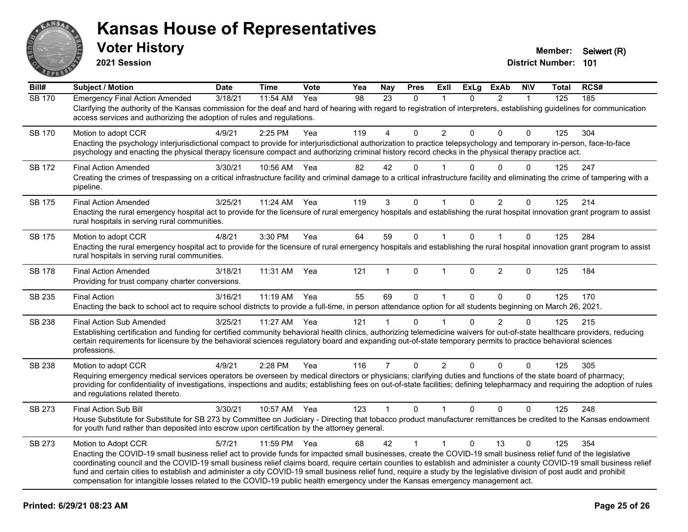

**2021 Session**

| Bill#         | <b>Subject / Motion</b>                                                                                                                                                                                                                                                                                                                                                                                                                                                                                                                                                                                                                                                       | <b>Date</b> | <b>Time</b> | Vote | Yea | <b>Nay</b>     | <b>Pres</b>  | ExII                 | <b>ExLg</b>  | <b>ExAb</b>    | <b>NIV</b>   | <b>Total</b> | RCS# |
|---------------|-------------------------------------------------------------------------------------------------------------------------------------------------------------------------------------------------------------------------------------------------------------------------------------------------------------------------------------------------------------------------------------------------------------------------------------------------------------------------------------------------------------------------------------------------------------------------------------------------------------------------------------------------------------------------------|-------------|-------------|------|-----|----------------|--------------|----------------------|--------------|----------------|--------------|--------------|------|
| <b>SB 170</b> | <b>Emergency Final Action Amended</b><br>Clarifying the authority of the Kansas commission for the deaf and hard of hearing with regard to registration of interpreters, establishing guidelines for communication<br>access services and authorizing the adoption of rules and regulations.                                                                                                                                                                                                                                                                                                                                                                                  | 3/18/21     | 11:54 AM    | Yea  | 98  | 23             | $\Omega$     | 1                    | $\Omega$     | $\overline{2}$ | $\mathbf{1}$ | 125          | 185  |
| <b>SB 170</b> | Motion to adopt CCR<br>Enacting the psychology interjurisdictional compact to provide for interjurisdictional authorization to practice telepsychology and temporary in-person, face-to-face<br>psychology and enacting the physical therapy licensure compact and authorizing criminal history record checks in the physical therapy practice act.                                                                                                                                                                                                                                                                                                                           | 4/9/21      | 2:25 PM     | Yea  | 119 | 4              | $\Omega$     | $\overline{2}$       | $\Omega$     | $\Omega$       | $\Omega$     | 125          | 304  |
| <b>SB 172</b> | <b>Final Action Amended</b><br>Creating the crimes of trespassing on a critical infrastructure facility and criminal damage to a critical infrastructure facility and eliminating the crime of tampering with a<br>pipeline.                                                                                                                                                                                                                                                                                                                                                                                                                                                  | 3/30/21     | 10:56 AM    | Yea  | 82  | 42             | $\Omega$     |                      | $\Omega$     | $\Omega$       | $\Omega$     | 125          | 247  |
| <b>SB 175</b> | <b>Final Action Amended</b><br>Enacting the rural emergency hospital act to provide for the licensure of rural emergency hospitals and establishing the rural hospital innovation grant program to assist<br>rural hospitals in serving rural communities.                                                                                                                                                                                                                                                                                                                                                                                                                    | 3/25/21     | 11:24 AM    | Yea  | 119 | 3              | 0            | $\blacktriangleleft$ | $\Omega$     | $\overline{2}$ | $\mathbf 0$  | 125          | 214  |
| <b>SB 175</b> | Motion to adopt CCR<br>Enacting the rural emergency hospital act to provide for the licensure of rural emergency hospitals and establishing the rural hospital innovation grant program to assist<br>rural hospitals in serving rural communities.                                                                                                                                                                                                                                                                                                                                                                                                                            | 4/8/21      | 3:30 PM     | Yea  | 64  | 59             | $\mathbf 0$  | $\mathbf{1}$         | $\Omega$     | $\mathbf{1}$   | $\mathbf 0$  | 125          | 284  |
| <b>SB 178</b> | <b>Final Action Amended</b><br>Providing for trust company charter conversions.                                                                                                                                                                                                                                                                                                                                                                                                                                                                                                                                                                                               | 3/18/21     | 11:31 AM    | Yea  | 121 | 1              | $\Omega$     | $\mathbf{1}$         | $\Omega$     | $\overline{2}$ | $\mathbf{0}$ | 125          | 184  |
| SB 235        | <b>Final Action</b><br>Enacting the back to school act to require school districts to provide a full-time, in person attendance option for all students beginning on March 26, 2021.                                                                                                                                                                                                                                                                                                                                                                                                                                                                                          | 3/16/21     | 11:19 AM    | Yea  | 55  | 69             | $\Omega$     | $\mathbf{1}$         | $\mathbf{0}$ | $\Omega$       | $\Omega$     | 125          | 170  |
| SB 238        | <b>Final Action Sub Amended</b><br>Establishing certification and funding for certified community behavioral health clinics, authorizing telemedicine waivers for out-of-state healthcare providers, reducing<br>certain requirements for licensure by the behavioral sciences regulatory board and expanding out-of-state temporary permits to practice behavioral sciences<br>professions.                                                                                                                                                                                                                                                                                  | 3/25/21     | 11:27 AM    | Yea  | 121 | 1              | 0            |                      | $\Omega$     | $\overline{2}$ | $\mathbf 0$  | 125          | 215  |
| SB 238        | Motion to adopt CCR<br>Requiring emergency medical services operators be overseen by medical directors or physicians; clarifying duties and functions of the state board of pharmacy;<br>providing for confidentiality of investigations, inspections and audits; establishing fees on out-of-state facilities; defining telepharmacy and requiring the adoption of rules<br>and regulations related thereto.                                                                                                                                                                                                                                                                 | 4/9/21      | 2:28 PM     | Yea  | 116 | $\overline{7}$ | $\mathbf 0$  | $\overline{2}$       | $\Omega$     | $\Omega$       | 0            | 125          | 305  |
| SB 273        | Final Action Sub Bill<br>House Substitute for Substitute for SB 273 by Committee on Judiciary - Directing that tobacco product manufacturer remittances be credited to the Kansas endowment<br>for youth fund rather than deposited into escrow upon certification by the attorney general.                                                                                                                                                                                                                                                                                                                                                                                   | 3/30/21     | 10:57 AM    | Yea  | 123 | $\mathbf{1}$   | $\mathbf{0}$ | $\mathbf{1}$         | $\mathbf{0}$ | $\Omega$       | $\Omega$     | 125          | 248  |
| SB 273        | Motion to Adopt CCR<br>Enacting the COVID-19 small business relief act to provide funds for impacted small businesses, create the COVID-19 small business relief fund of the legislative<br>coordinating council and the COVID-19 small business relief claims board, require certain counties to establish and administer a county COVID-19 small business relief<br>fund and certain cities to establish and administer a city COVID-19 small business relief fund, require a study by the legislative division of post audit and prohibit<br>compensation for intangible losses related to the COVID-19 public health emergency under the Kansas emergency management act. | 5/7/21      | 11:59 PM    | Yea  | 68  | 42             | $\mathbf{1}$ | $\mathbf{1}$         | $\Omega$     | 13             | $\mathbf{0}$ | 125          | 354  |